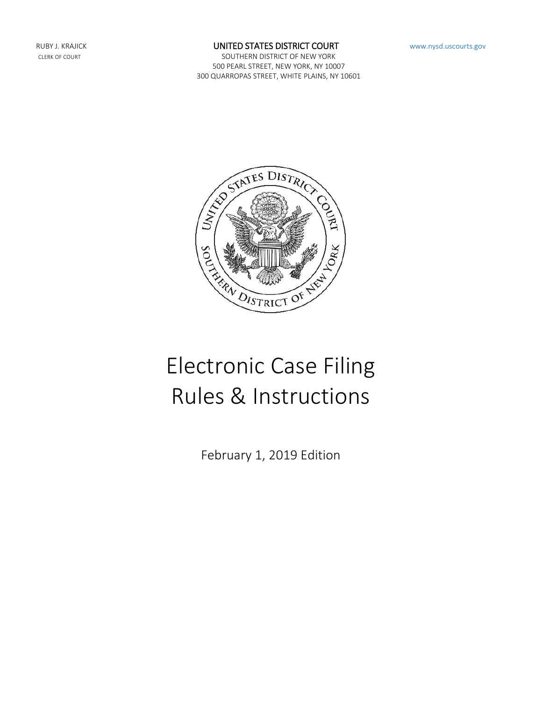#### RUBY J. KRAJICK **EXECUTED STATES DISTRICT COURT** WWW.nysd.uscourts.gov

CLERK OF COURT **SOUTHERN DISTRICT OF NEW YORK** 500 PEARL STREET, NEW YORK, NY 10007 300 QUARROPAS STREET, WHITE PLAINS, NY 10601



# Electronic Case Filing Rules & Instructions

February 1, 2019 Edition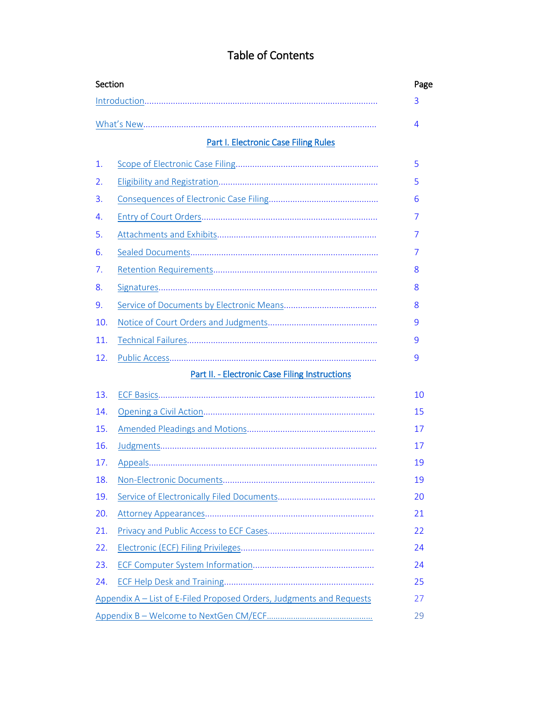<span id="page-1-1"></span><span id="page-1-0"></span>

|     | <b>Part I. Electronic Case Filing Rules</b>           |  |
|-----|-------------------------------------------------------|--|
| 1.  |                                                       |  |
| 2.  |                                                       |  |
| 3.  |                                                       |  |
| 4.  |                                                       |  |
| 5.  |                                                       |  |
| 6.  |                                                       |  |
| 7.  |                                                       |  |
| 8.  |                                                       |  |
| 9.  |                                                       |  |
| 10. |                                                       |  |
| 11. |                                                       |  |
| 12. |                                                       |  |
|     | <b>Part II. - Electronic Case Filing Instructions</b> |  |
| 13. |                                                       |  |
| 14. |                                                       |  |
| 15. |                                                       |  |
| 16. |                                                       |  |
| 17. |                                                       |  |
| 18. |                                                       |  |
| 19. |                                                       |  |
| 20. |                                                       |  |
| 21. |                                                       |  |
| 22. |                                                       |  |
| 23. |                                                       |  |
| 24. |                                                       |  |
|     |                                                       |  |

# Table of Contents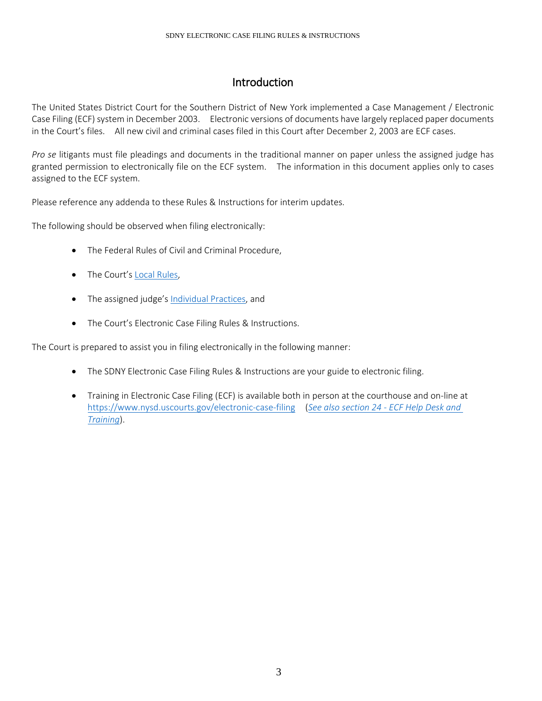# Introduction

The United States District Court for the Southern District of New York implemented a Case Management / Electronic Case Filing (ECF) system in December 2003. Electronic versions of documents have largely replaced paper documents in the Court's files. All new civil and criminal cases filed in this Court after December 2, 2003 are ECF cases.

*Pro se* litigants must file pleadings and documents in the traditional manner on paper unless the assigned judge has granted permission to electronically file on the ECF system. The information in this document applies only to cases assigned to the ECF system.

Please reference any addenda to these Rules & Instructions for interim updates.

The following should be observed when filing electronically:

- The Federal Rules of Civil and Criminal Procedure,
- The Court's [Local Rules,](https://nysd.uscourts.gov/rules)
- The assigned judge'[s Individual Practices,](https://nysd.uscourts.gov/judges) and
- The Court's Electronic Case Filing Rules & Instructions.

The Court is prepared to assist you in filing electronically in the following manner:

- The SDNY Electronic Case Filing Rules & Instructions are your guide to electronic filing.
- Training in Electronic Case Filing (ECF) is available both in person at the courthouse and on-line at <https://www.nysd.uscourts.gov/electronic-case-filing>(*[See also section 24 -](#page-25-1) ECF Help Desk and [Training](#page-25-1)*).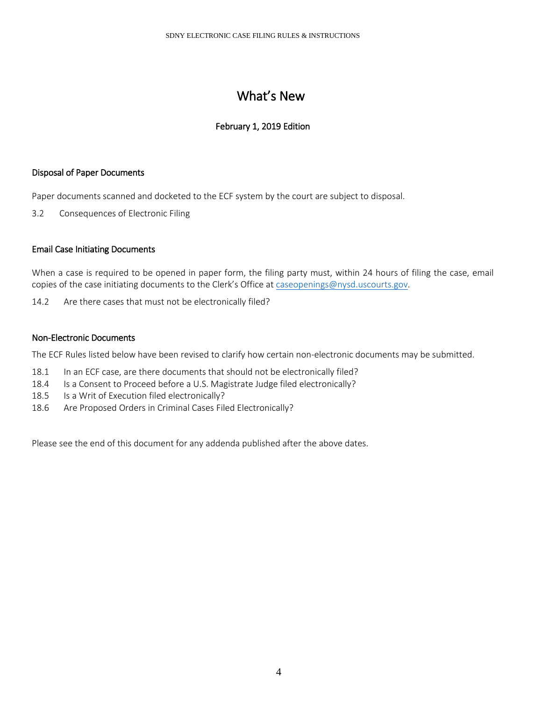# What's New

# February 1, 2019 Edition

# <span id="page-3-0"></span>Disposal of Paper Documents

Paper documents scanned and docketed to the ECF system by the court are subject to disposal.

3.2 Consequences of Electronic Filing

### Email Case Initiating Documents

When a case is required to be opened in paper form, the filing party must, within 24 hours of filing the case, email copies of the case initiating documents to the Clerk's Office at [caseopenings@nysd.uscourts.gov.](mailto:caseopenings@nysd.uscourts.gov)

14.2 Are there cases that must not be electronically filed?

#### Non-Electronic Documents

The ECF Rules listed below have been revised to clarify how certain non-electronic documents may be submitted.

- 18.1 In an ECF case, are there documents that should not be electronically filed?
- 18.4 Is a Consent to Proceed before a U.S. Magistrate Judge filed electronically?
- 18.5 Is a Writ of Execution filed electronically?
- 18.6 Are Proposed Orders in Criminal Cases Filed Electronically?

Please see the end of this document for any addenda published after the above dates.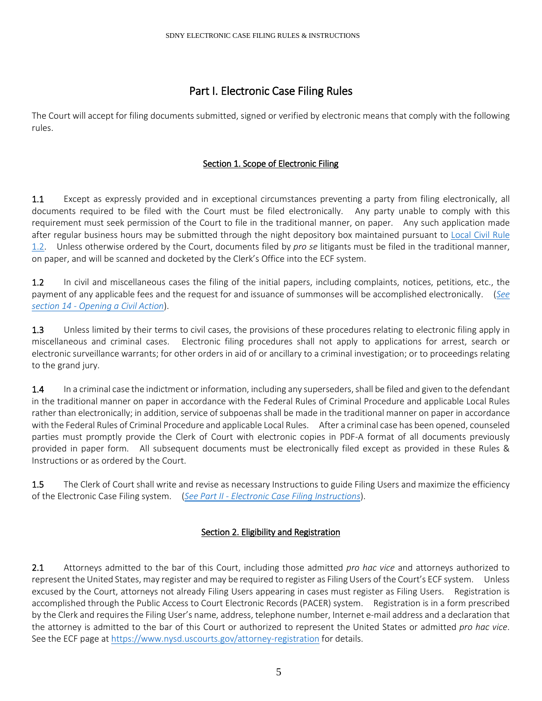# Part I. Electronic Case Filing Rules

<span id="page-4-1"></span><span id="page-4-0"></span>The Court will accept for filing documents submitted, signed or verified by electronic means that comply with the following rules.

# Section 1. Scope of Electronic Filing

1.1 Except as expressly provided and in exceptional circumstances preventing a party from filing electronically, all documents required to be filed with the Court must be filed electronically. Any party unable to comply with this requirement must seek permission of the Court to file in the traditional manner, on paper. Any such application made after regular business hours may be submitted through the night depository box maintained pursuant to [Local Civil Rule](https://nysd.uscourts.gov/rules.php)  [1.2.](https://nysd.uscourts.gov/rules.php) Unless otherwise ordered by the Court, documents filed by *pro se* litigants must be filed in the traditional manner, on paper, and will be scanned and docketed by the Clerk's Office into the ECF system.

1.2 In civil and miscellaneous cases the filing of the initial papers, including complaints, notices, petitions, etc., the payment of any applicable fees and the request for and issuance of summonses will be accomplished electronically. (*[See](#page-14-0)  section 14 - [Opening a Civil Action](#page-14-0)*).

1.3 Unless limited by their terms to civil cases, the provisions of these procedures relating to electronic filing apply in miscellaneous and criminal cases. Electronic filing procedures shall not apply to applications for arrest, search or electronic surveillance warrants; for other orders in aid of or ancillary to a criminal investigation; or to proceedings relating to the grand jury.

1.4 In a criminal case the indictment or information, including any superseders, shall be filed and given to the defendant in the traditional manner on paper in accordance with the Federal Rules of Criminal Procedure and applicable Local Rules rather than electronically; in addition, service of subpoenas shall be made in the traditional manner on paper in accordance with the Federal Rules of Criminal Procedure and applicable Local Rules. After a criminal case has been opened, counseled parties must promptly provide the Clerk of Court with electronic copies in PDF-A format of all documents previously provided in paper form. All subsequent documents must be electronically filed except as provided in these Rules & Instructions or as ordered by the Court.

1.5 The Clerk of Court shall write and revise as necessary Instructions to guide Filing Users and maximize the efficiency of the Electronic Case Filing system. (*See Part II - [Electronic Case Filing Instructions](#page-9-0)*).

# Section 2. Eligibility and Registration

<span id="page-4-2"></span>2.1 Attorneys admitted to the bar of this Court, including those admitted *pro hac vice* and attorneys authorized to represent the United States, may register and may be required to register as Filing Users of the Court's ECF system. Unless excused by the Court, attorneys not already Filing Users appearing in cases must register as Filing Users. Registration is accomplished through the Public Access to Court Electronic Records (PACER) system. Registration is in a form prescribed by the Clerk and requires the Filing User's name, address, telephone number, Internet e-mail address and a declaration that the attorney is admitted to the bar of this Court or authorized to represent the United States or admitted *pro hac vice*. See the ECF page a[t https://www.nysd.uscourts.gov/attorney-registration](https://www.nysd.uscourts.gov/attorney-registration) for details.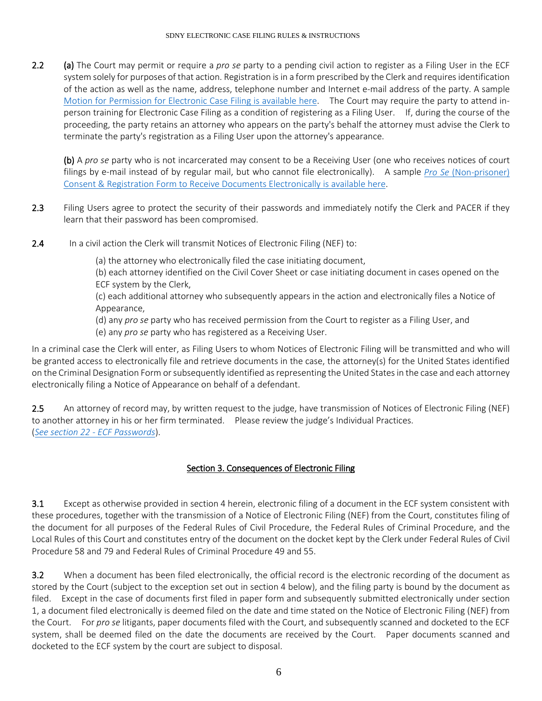2.2 (a) The Court may permit or require a *pro se* party to a pending civil action to register as a Filing User in the ECF system solely for purposes of that action. Registration is in a form prescribed by the Clerk and requires identification of the action as well as the name, address, telephone number and Internet e-mail address of the party. A sample [Motion for Permission for Electronic Case Filing is available here.](https://nysd.uscourts.gov/forms?field_form_category_target_id=22&title=&sort_by=title) The Court may require the party to attend inperson training for Electronic Case Filing as a condition of registering as a Filing User. If, during the course of the proceeding, the party retains an attorney who appears on the party's behalf the attorney must advise the Clerk to terminate the party's registration as a Filing User upon the attorney's appearance.

(b) A *pro se* party who is not incarcerated may consent to be a Receiving User (one who receives notices of court filings by e-mail instead of by regular mail, but who cannot file electronically). A sample *Pro Se* [\(Non-prisoner\)](https://nysd.uscourts.gov/forms?field_form_category_target_id=22&title=&sort_by=title)  [Consent & Registration Form to Receive Documents Electronically is available here.](https://nysd.uscourts.gov/forms?field_form_category_target_id=22&title=&sort_by=title)

- 2.3 Filing Users agree to protect the security of their passwords and immediately notify the Clerk and PACER if they learn that their password has been compromised.
- 2.4 In a civil action the Clerk will transmit Notices of Electronic Filing (NEF) to:

(a) the attorney who electronically filed the case initiating document,

(b) each attorney identified on the Civil Cover Sheet or case initiating document in cases opened on the ECF system by the Clerk,

(c) each additional attorney who subsequently appears in the action and electronically files a Notice of Appearance,

(d) any *pro se* party who has received permission from the Court to register as a Filing User, and

(e) any *pro se* party who has registered as a Receiving User.

In a criminal case the Clerk will enter, as Filing Users to whom Notices of Electronic Filing will be transmitted and who will be granted access to electronically file and retrieve documents in the case, the attorney(s) for the United States identified on the Criminal Designation Form or subsequently identified as representing the United States in the case and each attorney electronically filing a Notice of Appearance on behalf of a defendant.

2.5 An attorney of record may, by written request to the judge, have transmission of Notices of Electronic Filing (NEF) to another attorney in his or her firm terminated. Please review the judge's Individual Practices. (*[See section 22 -](#page-24-0) ECF Passwords*).

# Section 3. Consequences of Electronic Filing

3.1 Except as otherwise provided in section 4 herein, electronic filing of a document in the ECF system consistent with these procedures, together with the transmission of a Notice of Electronic Filing (NEF) from the Court, constitutes filing of the document for all purposes of the Federal Rules of Civil Procedure, the Federal Rules of Criminal Procedure, and the Local Rules of this Court and constitutes entry of the document on the docket kept by the Clerk under Federal Rules of Civil Procedure 58 and 79 and Federal Rules of Criminal Procedure 49 and 55.

3.2 When a document has been filed electronically, the official record is the electronic recording of the document as stored by the Court (subject to the exception set out in section 4 below), and the filing party is bound by the document as filed. Except in the case of documents first filed in paper form and subsequently submitted electronically under section 1, a document filed electronically is deemed filed on the date and time stated on the Notice of Electronic Filing (NEF) from the Court. For *pro se* litigants, paper documents filed with the Court, and subsequently scanned and docketed to the ECF system, shall be deemed filed on the date the documents are received by the Court. Paper documents scanned and docketed to the ECF system by the court are subject to disposal.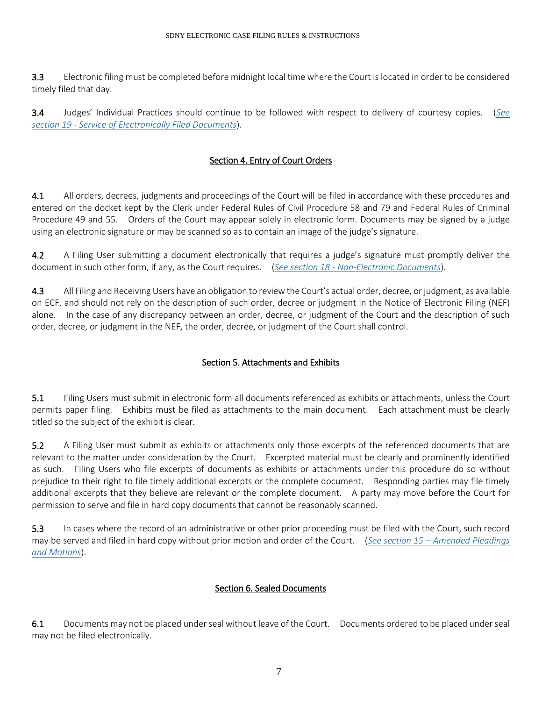3.3 Electronic filing must be completed before midnight local time where the Court is located in order to be considered timely filed that day.

3.4 Judges' Individual Practices should continue to be followed with respect to delivery of courtesy copies. (*[See](#page-20-0)  section 19 - [Service of Electronically Filed Documents](#page-20-0)*).

# Section 4. Entry of Court Orders

<span id="page-6-0"></span>4.1 All orders, decrees, judgments and proceedings of the Court will be filed in accordance with these procedures and entered on the docket kept by the Clerk under Federal Rules of Civil Procedure 58 and 79 and Federal Rules of Criminal Procedure 49 and 55. Orders of the Court may appear solely in electronic form. Documents may be signed by a judge using an electronic signature or may be scanned so as to contain an image of the judge's signature.

4.2 A Filing User submitting a document electronically that requires a judge's signature must promptly deliver the document in such other form, if any, as the Court requires. (*See section 18 - [Non-Electronic Documents](#page-19-0)*).

4.3 All Filing and Receiving Users have an obligation to review the Court's actual order, decree, or judgment, as available on ECF, and should not rely on the description of such order, decree or judgment in the Notice of Electronic Filing (NEF) alone. In the case of any discrepancy between an order, decree, or judgment of the Court and the description of such order, decree, or judgment in the NEF, the order, decree, or judgment of the Court shall control.

# Section 5. Attachments and Exhibits

<span id="page-6-1"></span>5.1 Filing Users must submit in electronic form all documents referenced as exhibits or attachments, unless the Court permits paper filing. Exhibits must be filed as attachments to the main document. Each attachment must be clearly titled so the subject of the exhibit is clear.

5.2 A Filing User must submit as exhibits or attachments only those excerpts of the referenced documents that are relevant to the matter under consideration by the Court. Excerpted material must be clearly and prominently identified as such. Filing Users who file excerpts of documents as exhibits or attachments under this procedure do so without prejudice to their right to file timely additional excerpts or the complete document. Responding parties may file timely additional excerpts that they believe are relevant or the complete document. A party may move before the Court for permission to serve and file in hard copy documents that cannot be reasonably scanned.

5.3 In cases where the record of an administrative or other prior proceeding must be filed with the Court, such record may be served and filed in hard copy without prior motion and order of the Court. (*See section 15 – [Amended Pleadings](#page-16-0)  [and Motions](#page-16-0)*).

### Section 6. Sealed Documents

<span id="page-6-2"></span>6.1 Documents may not be placed under seal without leave of the Court. Documents ordered to be placed under seal may not be filed electronically.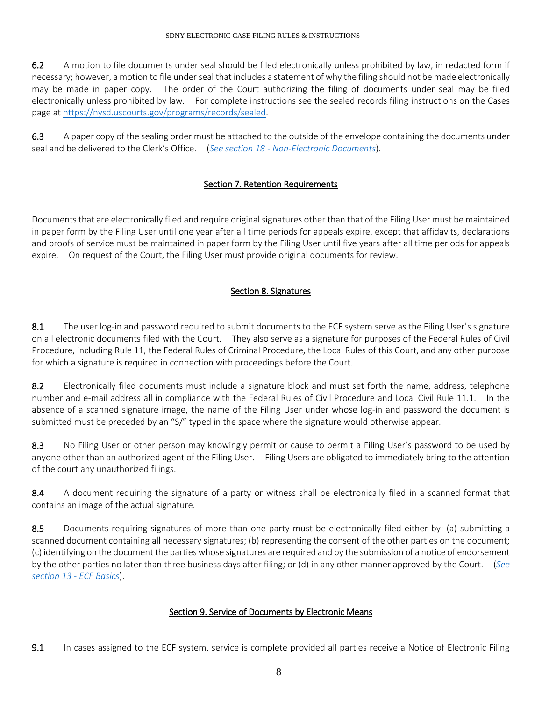6.2 A motion to file documents under seal should be filed electronically unless prohibited by law, in redacted form if necessary; however, a motion to file under seal that includes a statement of why the filing should not be made electronically may be made in paper copy. The order of the Court authorizing the filing of documents under seal may be filed electronically unless prohibited by law. For complete instructions see the sealed records filing instructions on the Cases page at [https://nysd.uscourts.gov/programs/records/sealed.](https://nysd.uscourts.gov/programs/records/sealed)

6.3 A paper copy of the sealing order must be attached to the outside of the envelope containing the documents under seal and be delivered to the Clerk's Office. (*See section 18 - [Non-Electronic Documents](#page-19-0)*).

# Section 7. Retention Requirements

<span id="page-7-0"></span>Documents that are electronically filed and require original signatures other than that of the Filing User must be maintained in paper form by the Filing User until one year after all time periods for appeals expire, except that affidavits, declarations and proofs of service must be maintained in paper form by the Filing User until five years after all time periods for appeals expire. On request of the Court, the Filing User must provide original documents for review.

# Section 8. Signatures

<span id="page-7-1"></span>8.1 The user log-in and password required to submit documents to the ECF system serve as the Filing User's signature on all electronic documents filed with the Court. They also serve as a signature for purposes of the Federal Rules of Civil Procedure, including Rule 11, the Federal Rules of Criminal Procedure, the Local Rules of this Court, and any other purpose for which a signature is required in connection with proceedings before the Court.

8.2 Electronically filed documents must include a signature block and must set forth the name, address, telephone number and e-mail address all in compliance with the Federal Rules of Civil Procedure and Local Civil Rule 11.1. In the absence of a scanned signature image, the name of the Filing User under whose log-in and password the document is submitted must be preceded by an "S/" typed in the space where the signature would otherwise appear.

8.3 No Filing User or other person may knowingly permit or cause to permit a Filing User's password to be used by anyone other than an authorized agent of the Filing User. Filing Users are obligated to immediately bring to the attention of the court any unauthorized filings.

8.4 A document requiring the signature of a party or witness shall be electronically filed in a scanned format that contains an image of the actual signature.

8.5 Documents requiring signatures of more than one party must be electronically filed either by: (a) submitting a scanned document containing all necessary signatures; (b) representing the consent of the other parties on the document; (c) identifying on the document the parties whose signatures are required and by the submission of a notice of endorsement by the other parties no later than three business days after filing; or (d) in any other manner approved by the Court. (*[See](#page-9-1)  [section 13 -](#page-9-1) ECF Basics*).

# Section 9. Service of Documents by Electronic Means

<span id="page-7-2"></span>9.1 In cases assigned to the ECF system, service is complete provided all parties receive a Notice of Electronic Filing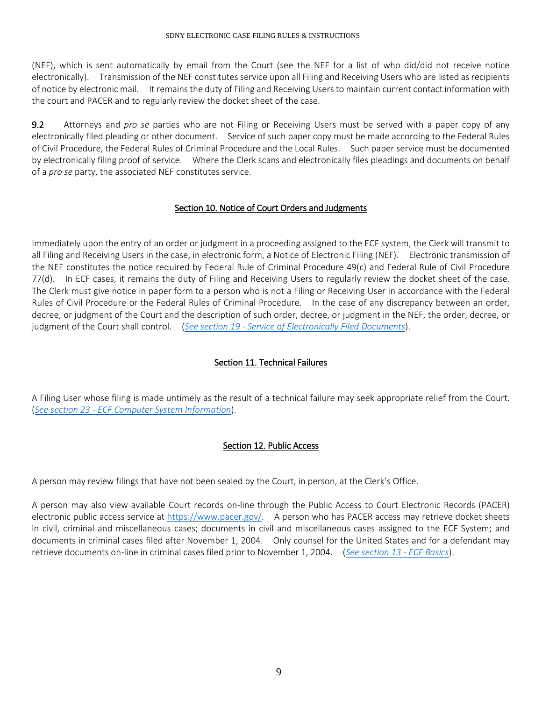(NEF), which is sent automatically by email from the Court (see the NEF for a list of who did/did not receive notice electronically). Transmission of the NEF constitutes service upon all Filing and Receiving Users who are listed as recipients of notice by electronic mail. It remains the duty of Filing and Receiving Users to maintain current contact information with the court and PACER and to regularly review the docket sheet of the case.

<span id="page-8-0"></span>9.2 Attorneys and *pro se* parties who are not Filing or Receiving Users must be served with a paper copy of any electronically filed pleading or other document. Service of such paper copy must be made according to the Federal Rules of Civil Procedure, the Federal Rules of Criminal Procedure and the Local Rules. Such paper service must be documented by electronically filing proof of service. Where the Clerk scans and electronically files pleadings and documents on behalf of a *pro se* party, the associated NEF constitutes service.

# Section 10. Notice of Court Orders and Judgments

Immediately upon the entry of an order or judgment in a proceeding assigned to the ECF system, the Clerk will transmit to all Filing and Receiving Users in the case, in electronic form, a Notice of Electronic Filing (NEF). Electronic transmission of the NEF constitutes the notice required by Federal Rule of Criminal Procedure 49(c) and Federal Rule of Civil Procedure 77(d). In ECF cases, it remains the duty of Filing and Receiving Users to regularly review the docket sheet of the case. The Clerk must give notice in paper form to a person who is not a Filing or Receiving User in accordance with the Federal Rules of Civil Procedure or the Federal Rules of Criminal Procedure. In the case of any discrepancy between an order, decree, or judgment of the Court and the description of such order, decree, or judgment in the NEF, the order, decree, or judgment of the Court shall control. (*See section 19 - [Service of Electronically Filed Documents](#page-20-0)*).

# Section 11. Technical Failures

<span id="page-8-1"></span>A Filing User whose filing is made untimely as the result of a technical failure may seek appropriate relief from the Court. (*See section 23 - [ECF Computer System Information](#page-25-0)*).

### <span id="page-8-2"></span>Section 12. Public Access

A person may review filings that have not been sealed by the Court, in person, at the Clerk's Office.

A person may also view available Court records on-line through the Public Access to Court Electronic Records (PACER) electronic public access service at [https://www.pacer.gov/.](https://www.pacer.gov/) A person who has PACER access may retrieve docket sheets in civil, criminal and miscellaneous cases; documents in civil and miscellaneous cases assigned to the ECF System; and documents in criminal cases filed after November 1, 2004. Only counsel for the United States and for a defendant may retrieve documents on-line in criminal cases filed prior to November 1, 2004. (*[See section 13 -](#page-9-1) ECF Basics*).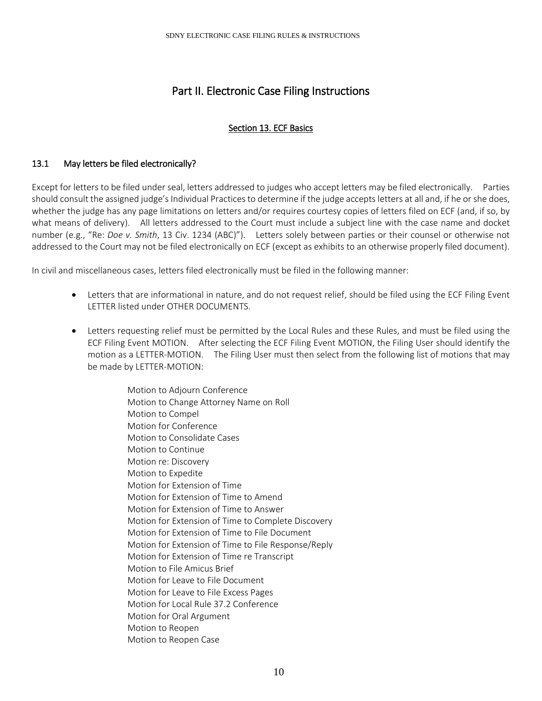# Part II. Electronic Case Filing Instructions

# Section 13. ECF Basics

# <span id="page-9-1"></span><span id="page-9-0"></span>13.1 May letters be filed electronically?

Except for letters to be filed under seal, letters addressed to judges who accept letters may be filed electronically. Parties should consult the assigned judge's Individual Practices to determine if the judge accepts letters at all and, if he or she does, whether the judge has any page limitations on letters and/or requires courtesy copies of letters filed on ECF (and, if so, by what means of delivery). All letters addressed to the Court must include a subject line with the case name and docket number (e.g., "Re: *Doe v. Smith*, 13 Civ. 1234 (ABC)"). Letters solely between parties or their counsel or otherwise not addressed to the Court may not be filed electronically on ECF (except as exhibits to an otherwise properly filed document).

In civil and miscellaneous cases, letters filed electronically must be filed in the following manner:

- Letters that are informational in nature, and do not request relief, should be filed using the ECF Filing Event LETTER listed under OTHER DOCUMENTS.
- Letters requesting relief must be permitted by the Local Rules and these Rules, and must be filed using the ECF Filing Event MOTION. After selecting the ECF Filing Event MOTION, the Filing User should identify the motion as a LETTER-MOTION. The Filing User must then select from the following list of motions that may be made by LETTER-MOTION:

Motion to Adjourn Conference Motion to Change Attorney Name on Roll Motion to Compel Motion for Conference Motion to Consolidate Cases Motion to Continue Motion re: Discovery Motion to Expedite Motion for Extension of Time Motion for Extension of Time to Amend Motion for Extension of Time to Answer Motion for Extension of Time to Complete Discovery Motion for Extension of Time to File Document Motion for Extension of Time to File Response/Reply Motion for Extension of Time re Transcript Motion to File Amicus Brief Motion for Leave to File Document Motion for Leave to File Excess Pages Motion for Local Rule 37.2 Conference Motion for Oral Argument Motion to Reopen Motion to Reopen Case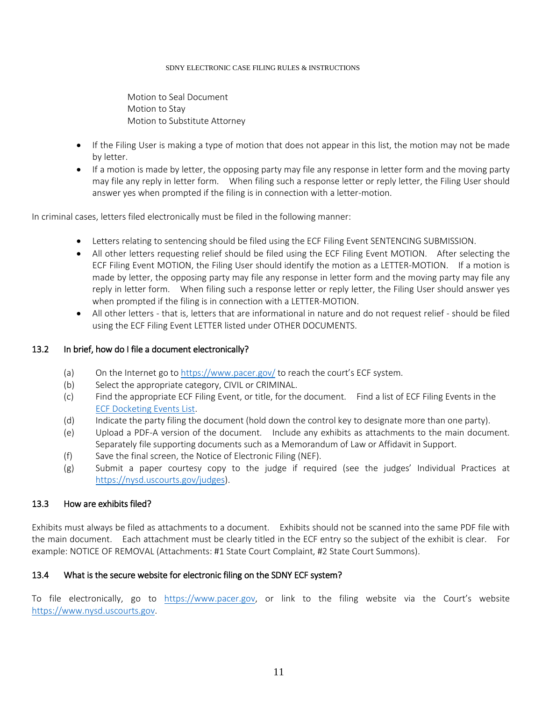Motion to Seal Document Motion to Stay Motion to Substitute Attorney

- If the Filing User is making a type of motion that does not appear in this list, the motion may not be made by letter.
- If a motion is made by letter, the opposing party may file any response in letter form and the moving party may file any reply in letter form. When filing such a response letter or reply letter, the Filing User should answer yes when prompted if the filing is in connection with a letter-motion.

In criminal cases, letters filed electronically must be filed in the following manner:

- Letters relating to sentencing should be filed using the ECF Filing Event SENTENCING SUBMISSION.
- All other letters requesting relief should be filed using the ECF Filing Event MOTION. After selecting the ECF Filing Event MOTION, the Filing User should identify the motion as a LETTER-MOTION. If a motion is made by letter, the opposing party may file any response in letter form and the moving party may file any reply in letter form. When filing such a response letter or reply letter, the Filing User should answer yes when prompted if the filing is in connection with a LETTER-MOTION.
- All other letters that is, letters that are informational in nature and do not request relief should be filed using the ECF Filing Event LETTER listed under OTHER DOCUMENTS.

### 13.2 In brief, how do I file a document electronically?

- (a) On the Internet go to<https://www.pacer.gov/> to reach the court's ECF system.
- (b) Select the appropriate category, CIVIL or CRIMINAL.
- (c) Find the appropriate ECF Filing Event, or title, for the document. Find a list of ECF Filing Events in the [ECF Docketing](https://nysd.uscourts.gov/electronic-case-filing) Events List.
- (d) Indicate the party filing the document (hold down the control key to designate more than one party).
- (e) Upload a PDF-A version of the document. Include any exhibits as attachments to the main document. Separately file supporting documents such as a Memorandum of Law or Affidavit in Support.
- (f) Save the final screen, the Notice of Electronic Filing (NEF).
- (g) Submit a paper courtesy copy to the judge if required (see the judges' Individual Practices at [https://nysd.uscourts.gov/judges\)](https://nysd.uscourts.gov/judges).

### 13.3 How are exhibits filed?

Exhibits must always be filed as attachments to a document. Exhibits should not be scanned into the same PDF file with the main document. Each attachment must be clearly titled in the ECF entry so the subject of the exhibit is clear. For example: NOTICE OF REMOVAL (Attachments: #1 State Court Complaint, #2 State Court Summons).

### 13.4 What is the secure website for electronic filing on the SDNY ECF system?

To file electronically, go to [https://www.pacer.gov,](https://www.pacer.gov/) or link to the filing website via the Court's website [https://www.nysd.uscourts.gov.](https://www.nysd.uscourts.gov/)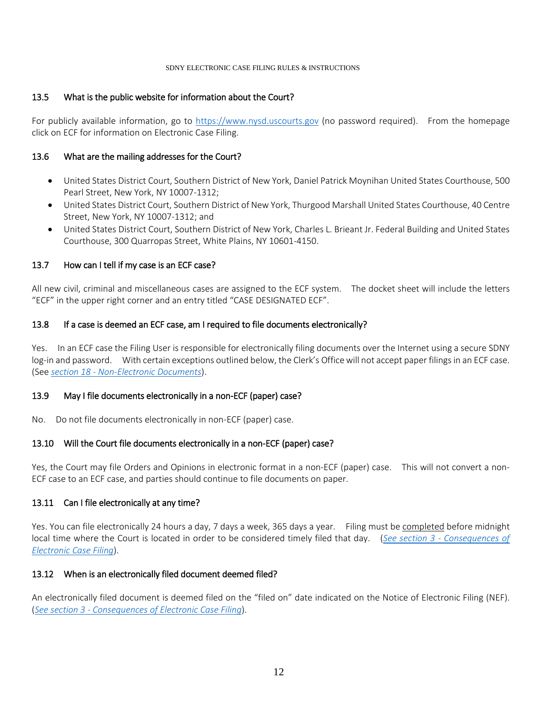#### 13.5 What is the public website for information about the Court?

For publicly available information, go to [https://www.nysd.uscourts.gov](https://www.nysd.uscourts.gov/) (no password required). From the homepage click on ECF for information on Electronic Case Filing.

#### 13.6 What are the mailing addresses for the Court?

- United States District Court, Southern District of New York, Daniel Patrick Moynihan United States Courthouse, 500 Pearl Street, New York, NY 10007-1312;
- United States District Court, Southern District of New York, Thurgood Marshall United States Courthouse, 40 Centre Street, New York, NY 10007-1312; and
- United States District Court, Southern District of New York, Charles L. Brieant Jr. Federal Building and United States Courthouse, 300 Quarropas Street, White Plains, NY 10601-4150.

#### 13.7 How can I tell if my case is an ECF case?

All new civil, criminal and miscellaneous cases are assigned to the ECF system. The docket sheet will include the letters "ECF" in the upper right corner and an entry titled "CASE DESIGNATED ECF".

#### 13.8 If a case is deemed an ECF case, am I required to file documents electronically?

Yes. In an ECF case the Filing User is responsible for electronically filing documents over the Internet using a secure SDNY log-in and password. With certain exceptions outlined below, the Clerk's Office will not accept paper filings in an ECF case. (See *section 18 - [Non-Electronic Documents](#page-19-0)*).

#### 13.9 May I file documents electronically in a non-ECF (paper) case?

No. Do not file documents electronically in non-ECF (paper) case.

### 13.10 Will the Court file documents electronically in a non-ECF (paper) case?

Yes, the Court may file Orders and Opinions in electronic format in a non-ECF (paper) case. This will not convert a non-ECF case to an ECF case, and parties should continue to file documents on paper.

#### 13.11 Can I file electronically at any time?

Yes. You can file electronically 24 hours a day, 7 days a week, 365 days a year. Filing must be completed before midnight local time where the Court is located in order to be considered timely filed that day. (*See section 3 - [Consequences of](#page-1-1)  [Electronic Case Filing](#page-1-1)*).

#### 13.12 When is an electronically filed document deemed filed?

An electronically filed document is deemed filed on the "filed on" date indicated on the Notice of Electronic Filing (NEF). (*See section 3 - [Consequences of Electronic Case Filing](#page-1-1)*).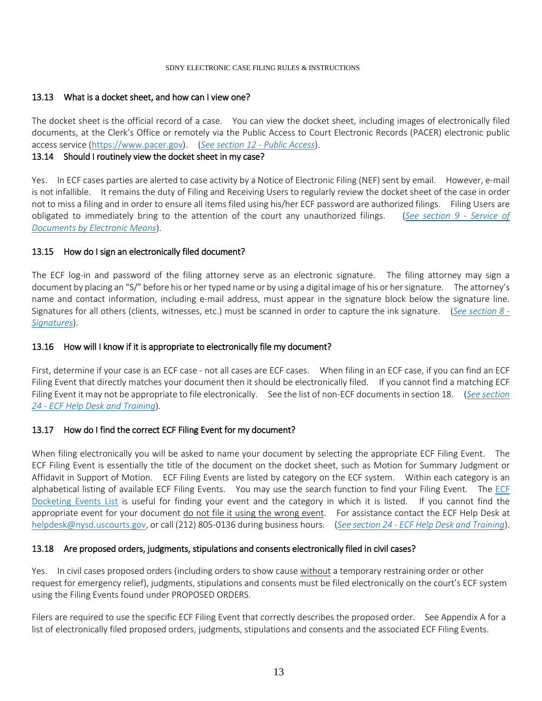#### 13.13 What is a docket sheet, and how can I view one?

The docket sheet is the official record of a case. You can view the docket sheet, including images of electronically filed documents, at the Clerk's Office or remotely via the Public Access to Court Electronic Records (PACER) electronic public access service [\(https://www.pacer.gov\)](https://www.pacer.gov/). (*[See section 12 -](#page-8-2) Public Access*).

#### 13.14 Should I routinely view the docket sheet in my case?

Yes. In ECF cases parties are alerted to case activity by a Notice of Electronic Filing (NEF) sent by email. However, e-mail is not infallible. It remains the duty of Filing and Receiving Users to regularly review the docket sheet of the case in order not to miss a filing and in order to ensure all items filed using his/her ECF password are authorized filings. Filing Users are obligated to immediately bring to the attention of the court any unauthorized filings. (*[See section 9 -](#page-7-2) Service of [Documents by Electronic Means](#page-7-2)*).

#### 13.15 How do I sign an electronically filed document?

The ECF log-in and password of the filing attorney serve as an electronic signature. The filing attorney may sign a document by placing an "S/" before his or her typed name or by using a digital image of his or her signature. The attorney's name and contact information, including e-mail address, must appear in the signature block below the signature line. Signatures for all others (clients, witnesses, etc.) must be scanned in order to capture the ink signature. (*[See section 8 -](#page-7-1) [Signatures](#page-7-1)*).

### 13.16 How will I know if it is appropriate to electronically file my document?

First, determine if your case is an ECF case - not all cases are ECF cases. When filing in an ECF case, if you can find an ECF Filing Event that directly matches your document then it should be electronically filed. If you cannot find a matching ECF Filing Event it may not be appropriate to file electronically. See the list of non-ECF documents in section 18. (*[See section](#page-25-1)  24 - [ECF Help Desk and Training](#page-25-1)*).

### 13.17 How do I find the correct ECF Filing Event for my document?

When filing electronically you will be asked to name your document by selecting the appropriate ECF Filing Event. The ECF Filing Event is essentially the title of the document on the docket sheet, such as Motion for Summary Judgment or Affidavit in Support of Motion. ECF Filing Events are listed by category on the ECF system. Within each category is an alphabetical listing of available ECF Filing Events. You may use the search function to find your Filing Event. The [ECF](https://nysd.uscourts.gov/electronic-case-filing)  [Docketing Events List](https://nysd.uscourts.gov/electronic-case-filing) is useful for finding your event and the category in which it is listed. If you cannot find the appropriate event for your document do not file it using the wrong event. For assistance contact the ECF Help Desk at [helpdesk@nysd.uscourts.gov,](mailto:helpdesk@nysd.uscourts.gov) or call (212) 805-0136 during business hours. (*See section 24 - [ECF Help Desk and Training](#page-25-1)*).

#### 13.18 Are proposed orders, judgments, stipulations and consents electronically filed in civil cases?

Yes. In civil cases proposed orders (including orders to show cause without a temporary restraining order or other request for emergency relief), judgments, stipulations and consents must be filed electronically on the court's ECF system using the Filing Events found under PROPOSED ORDERS.

Filers are required to use the specific ECF Filing Event that correctly describes the proposed order. See Appendix A for a list of electronically filed proposed orders, judgments, stipulations and consents and the associated ECF Filing Events.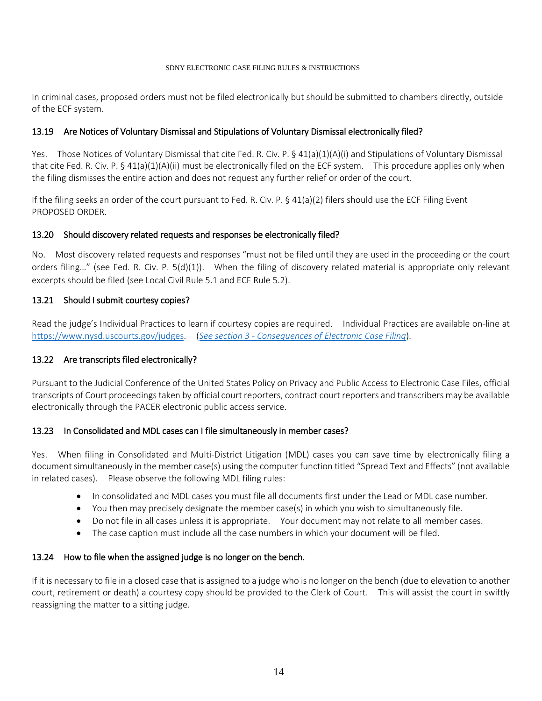In criminal cases, proposed orders must not be filed electronically but should be submitted to chambers directly, outside of the ECF system.

#### 13.19 Are Notices of Voluntary Dismissal and Stipulations of Voluntary Dismissal electronically filed?

Yes. Those Notices of Voluntary Dismissal that cite Fed. R. Civ. P. § 41(a)(1)(A)(i) and Stipulations of Voluntary Dismissal that cite Fed. R. Civ. P.  $\S$  41(a)(1)(A)(ii) must be electronically filed on the ECF system. This procedure applies only when the filing dismisses the entire action and does not request any further relief or order of the court.

If the filing seeks an order of the court pursuant to Fed. R. Civ. P. § 41(a)(2) filers should use the ECF Filing Event PROPOSED ORDER.

#### 13.20 Should discovery related requests and responses be electronically filed?

No. Most discovery related requests and responses "must not be filed until they are used in the proceeding or the court orders filing…" (see Fed. R. Civ. P. 5(d)(1)). When the filing of discovery related material is appropriate only relevant excerpts should be filed (see Local Civil Rule 5.1 and ECF Rule 5.2).

#### 13.21 Should I submit courtesy copies?

Read the judge's Individual Practices to learn if courtesy copies are required. Individual Practices are available on-line at [https://www.nysd.uscourts.gov/judges.](https://www.nysd.uscourts.gov/judges) (*See section 3 - [Consequences of Electronic Case Filing](#page-1-1)*).

### 13.22 Are transcripts filed electronically?

Pursuant to the Judicial Conference of the United States Policy on Privacy and Public Access to Electronic Case Files, official transcripts of Court proceedings taken by official court reporters, contract court reporters and transcribers may be available electronically through the PACER electronic public access service.

#### 13.23 In Consolidated and MDL cases can I file simultaneously in member cases?

Yes. When filing in Consolidated and Multi-District Litigation (MDL) cases you can save time by electronically filing a document simultaneously in the member case(s) using the computer function titled "Spread Text and Effects" (not available in related cases). Please observe the following MDL filing rules:

- In consolidated and MDL cases you must file all documents first under the Lead or MDL case number.
- You then may precisely designate the member case(s) in which you wish to simultaneously file.
- Do not file in all cases unless it is appropriate. Your document may not relate to all member cases.
- The case caption must include all the case numbers in which your document will be filed.

#### 13.24 How to file when the assigned judge is no longer on the bench.

If it is necessary to file in a closed case that is assigned to a judge who is no longer on the bench (due to elevation to another court, retirement or death) a courtesy copy should be provided to the Clerk of Court. This will assist the court in swiftly reassigning the matter to a sitting judge.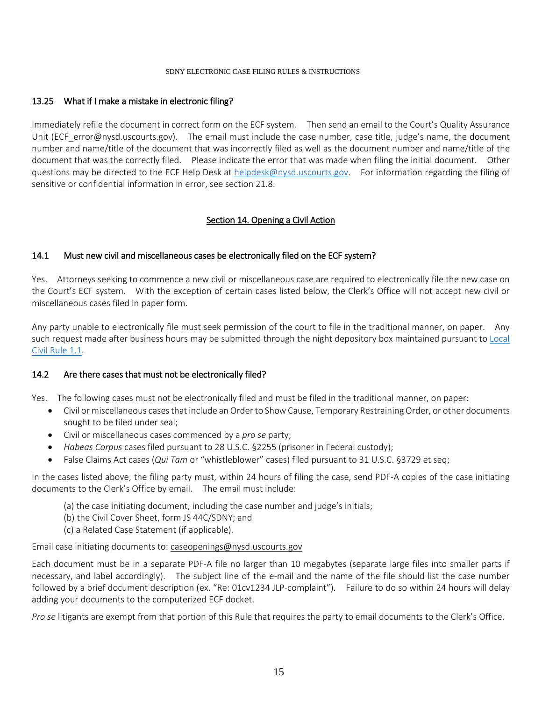#### 13.25 What if I make a mistake in electronic filing?

Immediately refile the document in correct form on the ECF system. Then send an email to the Court's Quality Assurance Unit (ECF error@nysd.uscourts.gov). The email must include the case number, case title, judge's name, the document number and name/title of the document that was incorrectly filed as well as the document number and name/title of the document that was the correctly filed. Please indicate the error that was made when filing the initial document. Other questions may be directed to the ECF Help Desk at [helpdesk@nysd.uscourts.gov.](mailto:helpdesk@nysd.uscourts.gov) For information regarding the filing of sensitive or confidential information in error, see section 21.8.

### Section 14. Opening a Civil Action

#### <span id="page-14-0"></span>14.1 Must new civil and miscellaneous cases be electronically filed on the ECF system?

Yes. Attorneys seeking to commence a new civil or miscellaneous case are required to electronically file the new case on the Court's ECF system. With the exception of certain cases listed below, the Clerk's Office will not accept new civil or miscellaneous cases filed in paper form.

Any party unable to electronically file must seek permission of the court to file in the traditional manner, on paper. Any such request made after business hours may be submitted through the night depository box maintained pursuant to [Local](https://nysd.uscourts.gov/rules.php)  [Civil Rule 1.1.](https://nysd.uscourts.gov/rules.php)

#### 14.2 Are there cases that must not be electronically filed?

Yes. The following cases must not be electronically filed and must be filed in the traditional manner, on paper:

- Civil or miscellaneous casesthat include an Order to Show Cause, Temporary Restraining Order, or other documents sought to be filed under seal;
- Civil or miscellaneous cases commenced by a *pro se* party;
- *Habeas Corpus* cases filed pursuant to 28 U.S.C. §2255 (prisoner in Federal custody);
- False Claims Act cases (*Qui Tam* or "whistleblower" cases) filed pursuant to 31 U.S.C. §3729 et seq;

In the cases listed above, the filing party must, within 24 hours of filing the case, send PDF-A copies of the case initiating documents to the Clerk's Office by email. The email must include:

- (a) the case initiating document, including the case number and judge's initials;
- (b) the Civil Cover Sheet, form JS 44C/SDNY; and
- (c) a Related Case Statement (if applicable).

Email case initiating documents to: caseopenings@nysd.uscourts.gov

Each document must be in a separate PDF-A file no larger than 10 megabytes (separate large files into smaller parts if necessary, and label accordingly). The subject line of the e-mail and the name of the file should list the case number followed by a brief document description (ex. "Re: 01cv1234 JLP-complaint"). Failure to do so within 24 hours will delay adding your documents to the computerized ECF docket.

*Pro se* litigants are exempt from that portion of this Rule that requires the party to email documents to the Clerk's Office.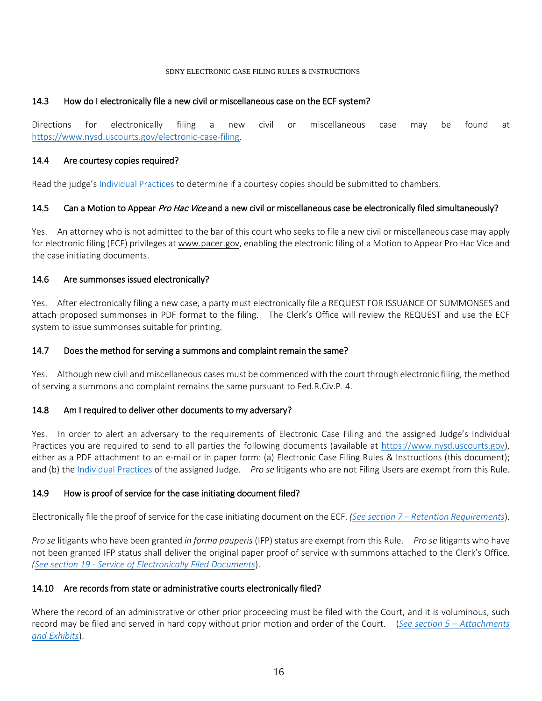#### 14.3 How do I electronically file a new civil or miscellaneous case on the ECF system?

Directions for electronically filing a new civil or miscellaneous case may be found at [https://www.nysd.uscourts.gov/electronic-case-filing.](https://www.nysd.uscourts.gov/electronic-case-filing)

#### 14.4 Are courtesy copies required?

Read the judge's [Individual Practices](https://nysd.uscourts.gov/judges) to determine if a courtesy copies should be submitted to chambers.

#### 14.5 Can a Motion to Appear *Pro Hac Vice* and a new civil or miscellaneous case be electronically filed simultaneously?

Yes. An attorney who is not admitted to the bar of this court who seeks to file a new civil or miscellaneous case may apply for electronic filing (ECF) privileges a[t www.pacer.gov,](http://www.pacer.gov/) enabling the electronic filing of a Motion to Appear Pro Hac Vice and the case initiating documents.

#### 14.6 Are summonses issued electronically?

Yes. After electronically filing a new case, a party must electronically file a REQUEST FOR ISSUANCE OF SUMMONSES and attach proposed summonses in PDF format to the filing. The Clerk's Office will review the REQUEST and use the ECF system to issue summonses suitable for printing.

#### 14.7 Does the method for serving a summons and complaint remain the same?

Yes. Although new civil and miscellaneous cases must be commenced with the court through electronic filing, the method of serving a summons and complaint remains the same pursuant to Fed.R.Civ.P. 4.

#### 14.8 Am I required to deliver other documents to my adversary?

Yes. In order to alert an adversary to the requirements of Electronic Case Filing and the assigned Judge's Individual Practices you are required to send to all parties the following documents (available at [https://www.nysd.uscourts.gov\)](https://www.nysd.uscourts.gov/), either as a PDF attachment to an e-mail or in paper form: (a) Electronic Case Filing Rules & Instructions (this document); and (b) the [Individual Practices](https://nysd.uscourts.gov/judges) of the assigned Judge. *Pro se* litigants who are not Filing Users are exempt from this Rule.

### 14.9 How is proof of service for the case initiating document filed?

Electronically file the proof of service for the case initiating document on the ECF. *(See section 7 – [Retention Requirements](#page-7-0)*).

*Pro se* litigants who have been granted *in forma pauperis* (IFP) status are exempt from this Rule. *Pro se* litigants who have not been granted IFP status shall deliver the original paper proof of service with summons attached to the Clerk's Office. *(See section 19 - [Service of Electronically Filed Documents](#page-20-0)*).

#### 14.10 Are records from state or administrative courts electronically filed?

Where the record of an administrative or other prior proceeding must be filed with the Court, and it is voluminous, such record may be filed and served in hard copy without prior motion and order of the Court. (*[See section 5 –](#page-6-1) Attachments [and Exhibits](#page-6-1)*).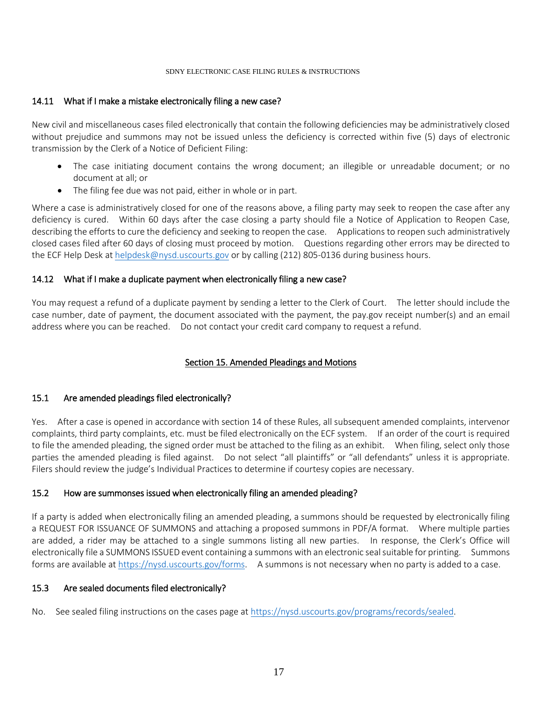#### 14.11 What if I make a mistake electronically filing a new case?

New civil and miscellaneous cases filed electronically that contain the following deficiencies may be administratively closed without prejudice and summons may not be issued unless the deficiency is corrected within five (5) days of electronic transmission by the Clerk of a Notice of Deficient Filing:

- The case initiating document contains the wrong document; an illegible or unreadable document; or no document at all; or
- The filing fee due was not paid, either in whole or in part.

Where a case is administratively closed for one of the reasons above, a filing party may seek to reopen the case after any deficiency is cured. Within 60 days after the case closing a party should file a Notice of Application to Reopen Case, describing the efforts to cure the deficiency and seeking to reopen the case. Applications to reopen such administratively closed cases filed after 60 days of closing must proceed by motion. Questions regarding other errors may be directed to the ECF Help Desk at [helpdesk@nysd.uscourts.gov](mailto:helpdesk@nysd.uscourts.gov) or by calling (212) 805-0136 during business hours.

#### 14.12 What if I make a duplicate payment when electronically filing a new case?

You may request a refund of a duplicate payment by sending a letter to the Clerk of Court. The letter should include the case number, date of payment, the document associated with the payment, the pay.gov receipt number(s) and an email address where you can be reached. Do not contact your credit card company to request a refund.

### Section 15. Amended Pleadings and Motions

### <span id="page-16-0"></span>15.1 Are amended pleadings filed electronically?

Yes. After a case is opened in accordance with section 14 of these Rules, all subsequent amended complaints, intervenor complaints, third party complaints, etc. must be filed electronically on the ECF system. If an order of the court is required to file the amended pleading, the signed order must be attached to the filing as an exhibit. When filing, select only those parties the amended pleading is filed against. Do not select "all plaintiffs" or "all defendants" unless it is appropriate. Filers should review the judge's Individual Practices to determine if courtesy copies are necessary.

### 15.2 How are summonses issued when electronically filing an amended pleading?

If a party is added when electronically filing an amended pleading, a summons should be requested by electronically filing a REQUEST FOR ISSUANCE OF SUMMONS and attaching a proposed summons in PDF/A format. Where multiple parties are added, a rider may be attached to a single summons listing all new parties. In response, the Clerk's Office will electronically file a SUMMONS ISSUED event containing a summons with an electronic seal suitable for printing. Summons forms are available a[t https://nysd.uscourts.gov/forms.](https://nysd.uscourts.gov/forms) A summons is not necessary when no party is added to a case.

#### 15.3 Are sealed documents filed electronically?

No. See sealed filing instructions on the cases page at [https://nysd.uscourts.gov/programs/records/sealed.](https://nysd.uscourts.gov/programs/records/sealed)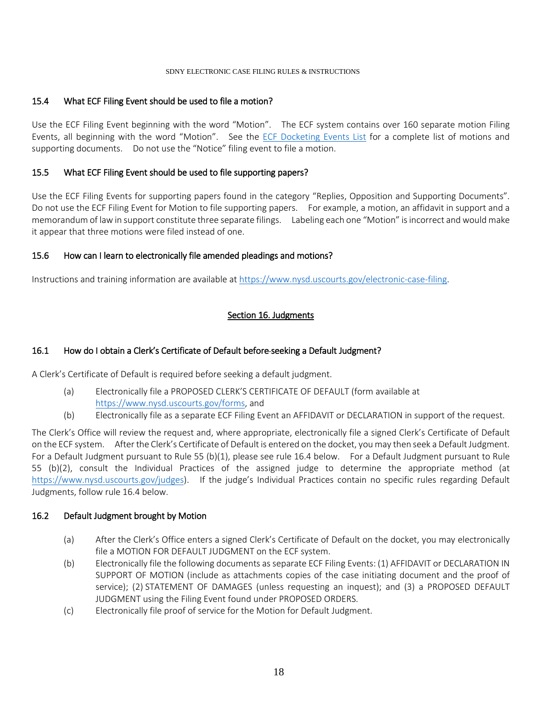#### 15.4 What ECF Filing Event should be used to file a motion?

Use the ECF Filing Event beginning with the word "Motion". The ECF system contains over 160 separate motion Filing Events, all beginning with the word "Motion". See the [ECF Docketing Events List](https://nysd.uscourts.gov/electronic-case-filing) for a complete list of motions and supporting documents. Do not use the "Notice" filing event to file a motion.

#### 15.5 What ECF Filing Event should be used to file supporting papers?

Use the ECF Filing Events for supporting papers found in the category "Replies, Opposition and Supporting Documents". Do not use the ECF Filing Event for Motion to file supporting papers. For example, a motion, an affidavit in support and a memorandum of law in support constitute three separate filings. Labeling each one "Motion" is incorrect and would make it appear that three motions were filed instead of one.

#### 15.6 How can I learn to electronically file amended pleadings and motions?

<span id="page-17-0"></span>Instructions and training information are available at [https://www.nysd.uscourts.gov/electronic-case-filing.](https://www.nysd.uscourts.gov/electronic-case-filing)

### Section 16. Judgments

## 16.1 How do I obtain a Clerk's Certificate of Default before seeking a Default Judgment?

A Clerk's Certificate of Default is required before seeking a default judgment.

- (a) Electronically file a PROPOSED CLERK'S CERTIFICATE OF DEFAULT (form available at [https://www.nysd.uscourts.gov/forms,](https://www.nysd.uscourts.gov/forms) and
- (b) Electronically file as a separate ECF Filing Event an AFFIDAVIT or DECLARATION in support of the request.

The Clerk's Office will review the request and, where appropriate, electronically file a signed Clerk's Certificate of Default on the ECF system. After the Clerk's Certificate of Default is entered on the docket, you may then seek a Default Judgment. For a Default Judgment pursuant to Rule 55 (b)(1), please see rule 16.4 below. For a Default Judgment pursuant to Rule 55 (b)(2), consult the Individual Practices of the assigned judge to determine the appropriate method (at [https://www.nysd.uscourts.gov/judges\)](https://www.nysd.uscourts.gov/judges). If the judge's Individual Practices contain no specific rules regarding Default Judgments, follow rule 16.4 below.

#### 16.2 Default Judgment brought by Motion

- (a) After the Clerk's Office enters a signed Clerk's Certificate of Default on the docket, you may electronically file a MOTION FOR DEFAULT JUDGMENT on the ECF system.
- (b) Electronically file the following documents as separate ECF Filing Events: (1) AFFIDAVIT or DECLARATION IN SUPPORT OF MOTION (include as attachments copies of the case initiating document and the proof of service); (2) STATEMENT OF DAMAGES (unless requesting an inquest); and (3) a PROPOSED DEFAULT JUDGMENT using the Filing Event found under PROPOSED ORDERS.
- (c) Electronically file proof of service for the Motion for Default Judgment.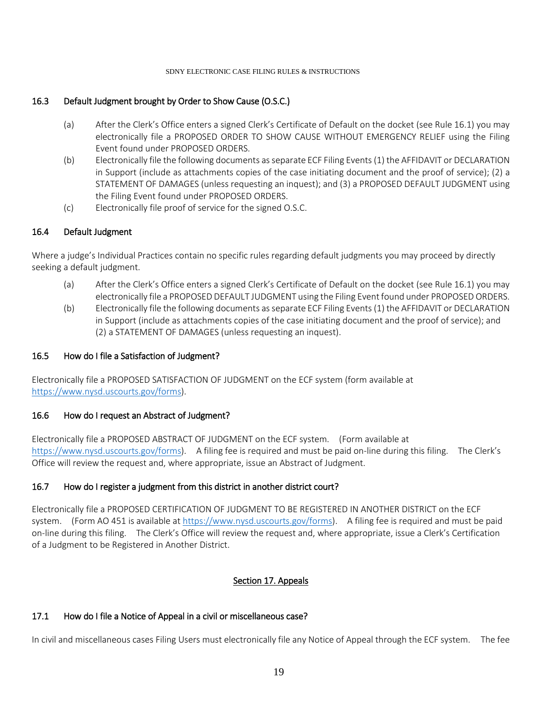### 16.3 Default Judgment brought by Order to Show Cause (O.S.C.)

- (a) After the Clerk's Office enters a signed Clerk's Certificate of Default on the docket (see Rule 16.1) you may electronically file a PROPOSED ORDER TO SHOW CAUSE WITHOUT EMERGENCY RELIEF using the Filing Event found under PROPOSED ORDERS.
- (b) Electronically file the following documents as separate ECF Filing Events (1) the AFFIDAVIT or DECLARATION in Support (include as attachments copies of the case initiating document and the proof of service); (2) a STATEMENT OF DAMAGES (unless requesting an inquest); and (3) a PROPOSED DEFAULT JUDGMENT using the Filing Event found under PROPOSED ORDERS.
- (c) Electronically file proof of service for the signed O.S.C.

#### 16.4 Default Judgment

Where a judge's Individual Practices contain no specific rules regarding default judgments you may proceed by directly seeking a default judgment.

- (a) After the Clerk's Office enters a signed Clerk's Certificate of Default on the docket (see Rule 16.1) you may electronically file a PROPOSED DEFAULT JUDGMENT using the Filing Event found under PROPOSED ORDERS.
- (b) Electronically file the following documents as separate ECF Filing Events (1) the AFFIDAVIT or DECLARATION in Support (include as attachments copies of the case initiating document and the proof of service); and (2) a STATEMENT OF DAMAGES (unless requesting an inquest).

#### 16.5 How do I file a Satisfaction of Judgment?

Electronically file a PROPOSED SATISFACTION OF JUDGMENT on the ECF system (form available at [https://www.nysd.uscourts.gov/forms\)](https://www.nysd.uscourts.gov/forms).

#### 16.6 How do I request an Abstract of Judgment?

Electronically file a PROPOSED ABSTRACT OF JUDGMENT on the ECF system. (Form available at [https://www.nysd.uscourts.gov/forms\)](https://www.nysd.uscourts.gov/forms). A filing fee is required and must be paid on-line during this filing. The Clerk's Office will review the request and, where appropriate, issue an Abstract of Judgment.

### 16.7 How do I register a judgment from this district in another district court?

Electronically file a PROPOSED CERTIFICATION OF JUDGMENT TO BE REGISTERED IN ANOTHER DISTRICT on the ECF system. (Form AO 451 is available a[t https://www.nysd.uscourts.gov/forms\)](https://www.nysd.uscourts.gov/forms). A filing fee is required and must be paid on-line during this filing. The Clerk's Office will review the request and, where appropriate, issue a Clerk's Certification of a Judgment to be Registered in Another District.

### Section 17. Appeals

### <span id="page-18-0"></span>17.1 How do I file a Notice of Appeal in a civil or miscellaneous case?

In civil and miscellaneous cases Filing Users must electronically file any Notice of Appeal through the ECF system. The fee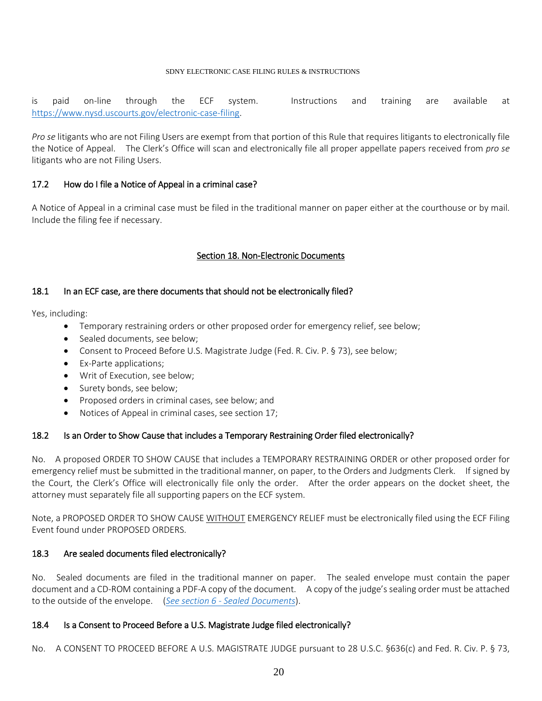is paid on-line through the ECF system. Instructions and training are available at [https://www.nysd.uscourts.gov/electronic-case-filing.](https://www.nysd.uscourts.gov/electronic-case-filing)

*Pro se* litigants who are not Filing Users are exempt from that portion of this Rule that requires litigants to electronically file the Notice of Appeal. The Clerk's Office will scan and electronically file all proper appellate papers received from *pro se*  litigants who are not Filing Users.

#### 17.2 How do I file a Notice of Appeal in a criminal case?

A Notice of Appeal in a criminal case must be filed in the traditional manner on paper either at the courthouse or by mail. Include the filing fee if necessary.

#### Section 18. Non-Electronic Documents

#### <span id="page-19-0"></span>18.1 In an ECF case, are there documents that should not be electronically filed?

Yes, including:

- Temporary restraining orders or other proposed order for emergency relief, see below;
- Sealed documents, see below;
- Consent to Proceed Before U.S. Magistrate Judge (Fed. R. Civ. P. § 73), see below;
- Ex-Parte applications;
- Writ of Execution, see below;
- Surety bonds, see below;
- Proposed orders in criminal cases, see below; and
- Notices of Appeal in criminal cases, see section 17;

#### 18.2 Is an Order to Show Cause that includes a Temporary Restraining Order filed electronically?

No. A proposed ORDER TO SHOW CAUSE that includes a TEMPORARY RESTRAINING ORDER or other proposed order for emergency relief must be submitted in the traditional manner, on paper, to the Orders and Judgments Clerk. If signed by the Court, the Clerk's Office will electronically file only the order. After the order appears on the docket sheet, the attorney must separately file all supporting papers on the ECF system.

Note, a PROPOSED ORDER TO SHOW CAUSE WITHOUT EMERGENCY RELIEF must be electronically filed using the ECF Filing Event found under PROPOSED ORDERS.

### 18.3 Are sealed documents filed electronically?

No. Sealed documents are filed in the traditional manner on paper. The sealed envelope must contain the paper document and a CD-ROM containing a PDF-A copy of the document. A copy of the judge's sealing order must be attached to the outside of the envelope. (*See section 6 - [Sealed Documents](#page-6-2)*).

#### 18.4 Is a Consent to Proceed Before a U.S. Magistrate Judge filed electronically?

No. A CONSENT TO PROCEED BEFORE A U.S. MAGISTRATE JUDGE pursuant to 28 U.S.C. §636(c) and Fed. R. Civ. P. § 73,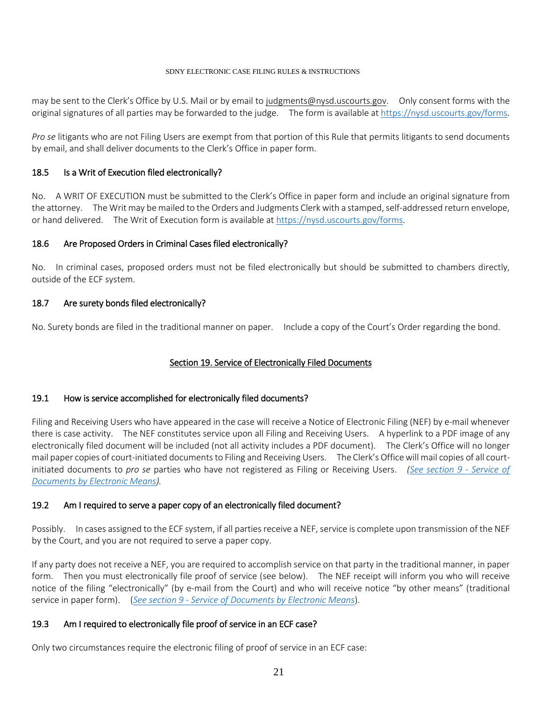may be sent to the Clerk's Office by U.S. Mail or by email to judgments@nysd.uscourts.gov. Only consent forms with the original signatures of all parties may be forwarded to the judge. The form is available a[t https://nysd.uscourts.gov/forms.](https://nysd.uscourts.gov/forms)

*Pro se* litigants who are not Filing Users are exempt from that portion of this Rule that permits litigants to send documents by email, and shall deliver documents to the Clerk's Office in paper form.

# 18.5 Is a Writ of Execution filed electronically?

No. A WRIT OF EXECUTION must be submitted to the Clerk's Office in paper form and include an original signature from the attorney. The Writ may be mailed to the Orders and Judgments Clerk with a stamped, self-addressed return envelope, or hand delivered. The Writ of Execution form is available at [https://nysd.uscourts.gov/forms.](https://nysd.uscourts.gov/forms)

# 18.6 Are Proposed Orders in Criminal Cases filed electronically?

No. In criminal cases, proposed orders must not be filed electronically but should be submitted to chambers directly, outside of the ECF system.

# 18.7 Are surety bonds filed electronically?

<span id="page-20-0"></span>No. Surety bonds are filed in the traditional manner on paper. Include a copy of the Court's Order regarding the bond.

# Section 19. Service of Electronically Filed Documents

### 19.1 How is service accomplished for electronically filed documents?

Filing and Receiving Users who have appeared in the case will receive a Notice of Electronic Filing (NEF) by e-mail whenever there is case activity. The NEF constitutes service upon all Filing and Receiving Users. A hyperlink to a PDF image of any electronically filed document will be included (not all activity includes a PDF document). The Clerk's Office will no longer mail paper copies of court-initiated documents to Filing and Receiving Users. The Clerk's Office will mail copies of all courtinitiated documents to *pro se* parties who have not registered as Filing or Receiving Users. *[\(See section 9 -](#page-7-2) Service of [Documents by Electronic Means\)](#page-7-2).*

### 19.2 Am I required to serve a paper copy of an electronically filed document?

Possibly. In cases assigned to the ECF system, if all parties receive a NEF, service is complete upon transmission of the NEF by the Court, and you are not required to serve a paper copy.

If any party does not receive a NEF, you are required to accomplish service on that party in the traditional manner, in paper form. Then you must electronically file proof of service (see below). The NEF receipt will inform you who will receive notice of the filing "electronically" (by e-mail from the Court) and who will receive notice "by other means" (traditional service in paper form). (*See section 9 - [Service of Documents by Electronic Means](#page-7-2)*).

### 19.3 Am I required to electronically file proof of service in an ECF case?

Only two circumstances require the electronic filing of proof of service in an ECF case: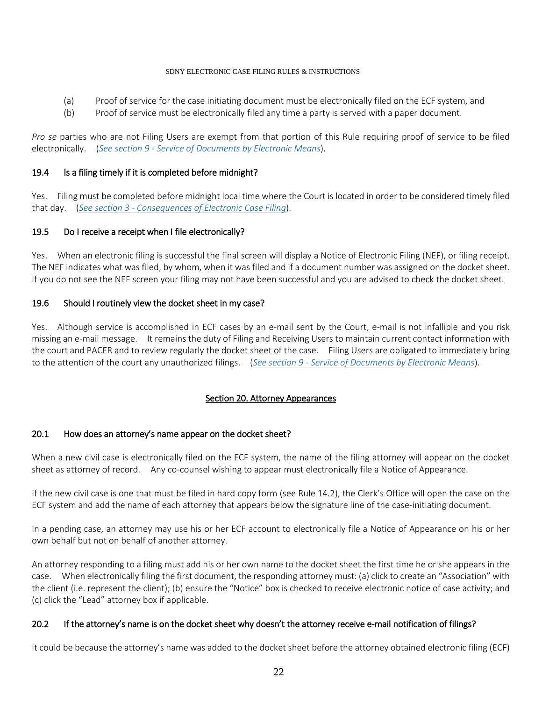- (a) Proof of service for the case initiating document must be electronically filed on the ECF system, and
- (b) Proof of service must be electronically filed any time a party is served with a paper document.

*Pro se* parties who are not Filing Users are exempt from that portion of this Rule requiring proof of service to be filed electronically. (*See section 9 - [Service of Documents by Electronic Means](#page-7-2)*).

#### 19.4 Is a filing timely if it is completed before midnight?

Yes. Filing must be completed before midnight local time where the Court is located in order to be considered timely filed that day. (*See section 3 - [Consequences of Electronic Case Filing](#page-1-1)*).

#### 19.5 Do I receive a receipt when I file electronically?

Yes. When an electronic filing is successful the final screen will display a Notice of Electronic Filing (NEF), or filing receipt. The NEF indicates what was filed, by whom, when it was filed and if a document number was assigned on the docket sheet. If you do not see the NEF screen your filing may not have been successful and you are advised to check the docket sheet.

#### 19.6 Should I routinely view the docket sheet in my case?

Yes. Although service is accomplished in ECF cases by an e-mail sent by the Court, e-mail is not infallible and you risk missing an e-mail message. It remains the duty of Filing and Receiving Users to maintain current contact information with the court and PACER and to review regularly the docket sheet of the case. Filing Users are obligated to immediately bring to the attention of the court any unauthorized filings. (*See section 9 - [Service of Documents by Electronic Means](#page-7-2)*).

### Section 20. Attorney Appearances

#### <span id="page-21-0"></span>20.1 How does an attorney's name appear on the docket sheet?

When a new civil case is electronically filed on the ECF system, the name of the filing attorney will appear on the docket sheet as attorney of record. Any co-counsel wishing to appear must electronically file a Notice of Appearance.

If the new civil case is one that must be filed in hard copy form (see Rule 14.2), the Clerk's Office will open the case on the ECF system and add the name of each attorney that appears below the signature line of the case-initiating document.

In a pending case, an attorney may use his or her ECF account to electronically file a Notice of Appearance on his or her own behalf but not on behalf of another attorney.

An attorney responding to a filing must add his or her own name to the docket sheet the first time he or she appears in the case. When electronically filing the first document, the responding attorney must: (a) click to create an "Association" with the client (i.e. represent the client); (b) ensure the "Notice" box is checked to receive electronic notice of case activity; and (c) click the "Lead" attorney box if applicable.

#### 20.2 If the attorney's name is on the docket sheet why doesn't the attorney receive e-mail notification of filings?

It could be because the attorney's name was added to the docket sheet before the attorney obtained electronic filing (ECF)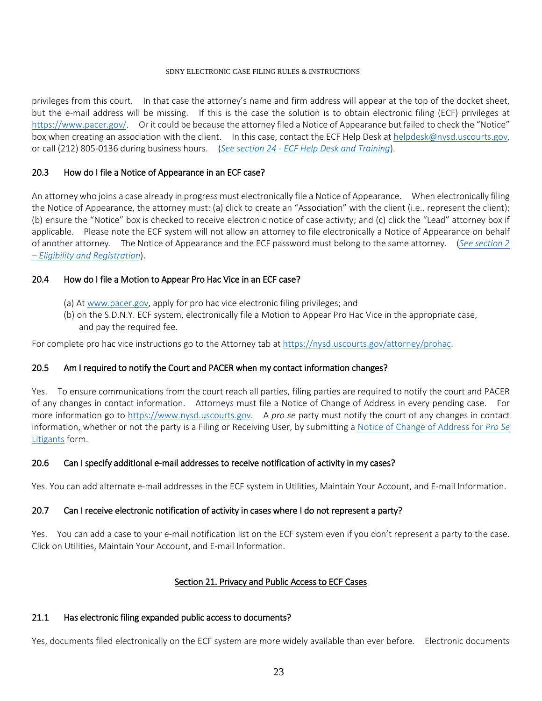privileges from this court. In that case the attorney's name and firm address will appear at the top of the docket sheet, but the e-mail address will be missing. If this is the case the solution is to obtain electronic filing (ECF) privileges at [https://www.pacer.gov/.](https://www.pacer.gov/) Or it could be because the attorney filed a Notice of Appearance but failed to check the "Notice" box when creating an association with the client. In this case, contact the ECF Help Desk at helpdesk@nysd.uscourts.gov, or call (212) 805-0136 during business hours. (*See section 24 - [ECF Help Desk and Training](#page-25-1)*).

#### 20.3 How do I file a Notice of Appearance in an ECF case?

An attorney who joins a case already in progress must electronically file a Notice of Appearance. When electronically filing the Notice of Appearance, the attorney must: (a) click to create an "Association" with the client (i.e., represent the client); (b) ensure the "Notice" box is checked to receive electronic notice of case activity; and (c) click the "Lead" attorney box if applicable. Please note the ECF system will not allow an attorney to file electronically a Notice of Appearance on behalf of another attorney. The Notice of Appearance and the ECF password must belong to the same attorney. (*[See section 2](#page-4-2)  – Eligibility and [Registration](#page-4-2)*).

#### 20.4 How do I file a Motion to Appear Pro Hac Vice in an ECF case?

- (a) A[t www.pacer.gov,](https://www.pacer.gov/) apply for pro hac vice electronic filing privileges; and
- (b) on the S.D.N.Y. ECF system, electronically file a Motion to Appear Pro Hac Vice in the appropriate case, and pay the required fee.

For complete pro hac vice instructions go to the Attorney tab a[t https://nysd.uscourts.gov/attorney/prohac.](https://nysd.uscourts.gov/attorney/prohac)

### 20.5 Am I required to notify the Court and PACER when my contact information changes?

Yes. To ensure communications from the court reach all parties, filing parties are required to notify the court and PACER of any changes in contact information. Attorneys must file a Notice of Change of Address in every pending case. For more information go to [https://www.nysd.uscourts.gov.](https://www.nysd.uscourts.gov/forms?field_form_category_target_id=23&title=&sort_by=title) A *pro se* party must notify the court of any changes in contact information, whether or not the party is a Filing or Receiving User, by submitting a [Notice of Change of Address for](https://nysd.uscourts.gov/node/823) *Pro Se* [Litigants](https://nysd.uscourts.gov/node/823) form.

### 20.6 Can I specify additional e-mail addresses to receive notification of activity in my cases?

Yes. You can add alternate e-mail addresses in the ECF system in Utilities, Maintain Your Account, and E-mail Information.

### 20.7 Can I receive electronic notification of activity in cases where I do not represent a party?

Yes. You can add a case to your e-mail notification list on the ECF system even if you don't represent a party to the case. Click on Utilities, Maintain Your Account, and E-mail Information.

#### Section 21. Privacy and Public Access to ECF Cases

#### <span id="page-22-0"></span>21.1 Has electronic filing expanded public access to documents?

Yes, documents filed electronically on the ECF system are more widely available than ever before. Electronic documents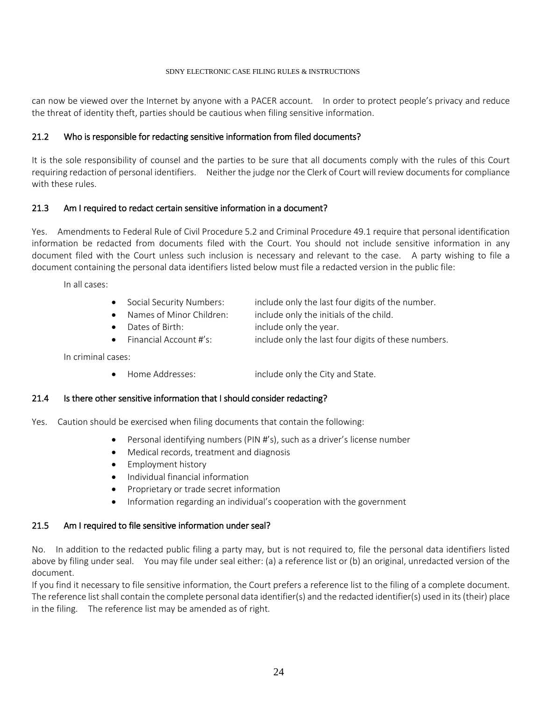can now be viewed over the Internet by anyone with a PACER account. In order to protect people's privacy and reduce the threat of identity theft, parties should be cautious when filing sensitive information.

#### 21.2 Who is responsible for redacting sensitive information from filed documents?

It is the sole responsibility of counsel and the parties to be sure that all documents comply with the rules of this Court requiring redaction of personal identifiers. Neither the judge nor the Clerk of Court will review documents for compliance with these rules.

#### 21.3 Am I required to redact certain sensitive information in a document?

Yes. Amendments to Federal Rule of Civil Procedure 5.2 and Criminal Procedure 49.1 require that personal identification information be redacted from documents filed with the Court. You should not include sensitive information in any document filed with the Court unless such inclusion is necessary and relevant to the case. A party wishing to file a document containing the personal data identifiers listed below must file a redacted version in the public file:

In all cases:

- Social Security Numbers: include only the last four digits of the number.
- Names of Minor Children: include only the initials of the child.
- Dates of Birth: include only the year.
- Financial Account #'s: include only the last four digits of these numbers.

In criminal cases:

• Home Addresses: include only the City and State.

#### 21.4 Is there other sensitive information that I should consider redacting?

Yes. Caution should be exercised when filing documents that contain the following:

- Personal identifying numbers (PIN #'s), such as a driver's license number
- Medical records, treatment and diagnosis
- Employment history
- Individual financial information
- Proprietary or trade secret information
- Information regarding an individual's cooperation with the government

#### 21.5 Am I required to file sensitive information under seal?

No. In addition to the redacted public filing a party may, but is not required to, file the personal data identifiers listed above by filing under seal. You may file under seal either: (a) a reference list or (b) an original, unredacted version of the document.

If you find it necessary to file sensitive information, the Court prefers a reference list to the filing of a complete document. The reference list shall contain the complete personal data identifier(s) and the redacted identifier(s) used in its (their) place in the filing. The reference list may be amended as of right.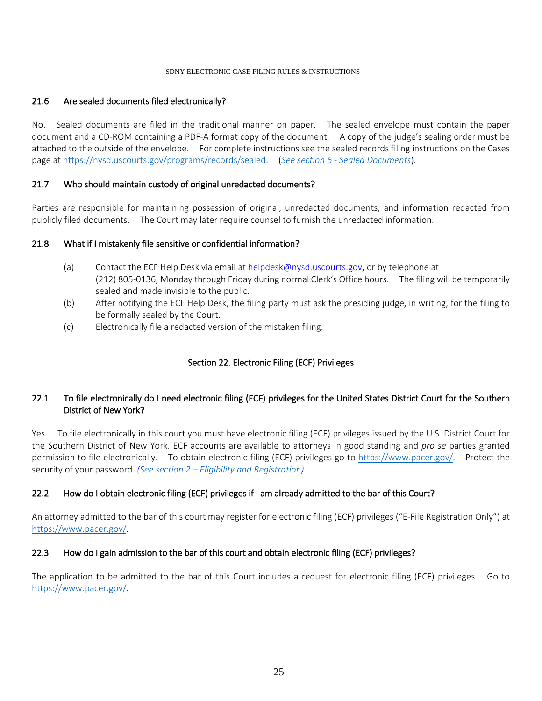#### 21.6 Are sealed documents filed electronically?

No. Sealed documents are filed in the traditional manner on paper. The sealed envelope must contain the paper document and a CD-ROM containing a PDF-A format copy of the document. A copy of the judge's sealing order must be attached to the outside of the envelope. For complete instructions see the sealed records filing instructions on the Cases page at https://nysd.uscourts.gov/programs/records/sealed. (*See section 6 - [Sealed Documents](#page-6-2)*).

#### 21.7 Who should maintain custody of original unredacted documents?

Parties are responsible for maintaining possession of original, unredacted documents, and information redacted from publicly filed documents. The Court may later require counsel to furnish the unredacted information.

#### 21.8 What if I mistakenly file sensitive or confidential information?

- (a) Contact the ECF Help Desk via email at helpdesk@nysd.uscourts.gov, or by telephone at (212) 805-0136, Monday through Friday during normal Clerk's Office hours. The filing will be temporarily sealed and made invisible to the public.
- (b) After notifying the ECF Help Desk, the filing party must ask the presiding judge, in writing, for the filing to be formally sealed by the Court.
- (c) Electronically file a redacted version of the mistaken filing.

# Section 22. Electronic Filing (ECF) Privileges

### <span id="page-24-0"></span>22.1 To file electronically do I need electronic filing (ECF) privileges for the United States District Court for the Southern District of New York?

Yes. To file electronically in this court you must have electronic filing (ECF) privileges issued by the U.S. District Court for the Southern District of New York. ECF accounts are available to attorneys in good standing and *pro se* parties granted permission to file electronically. To obtain electronic filing (ECF) privileges go to [https://www.pacer.gov/.](https://www.pacer.gov/) Protect the security of your password. *[\(See section 2 –](#page-4-2) Eligibility and Registration)*.

### 22.2 How do I obtain electronic filing (ECF) privileges if I am already admitted to the bar of this Court?

An attorney admitted to the bar of this court may register for electronic filing (ECF) privileges ("E-File Registration Only") at [https://www.pacer.gov/.](https://www.pacer.gov/)

### 22.3 How do I gain admission to the bar of this court and obtain electronic filing (ECF) privileges?

The application to be admitted to the bar of this Court includes a request for electronic filing (ECF) privileges. Go to [https://www.pacer.gov/.](https://www.pacer.gov/)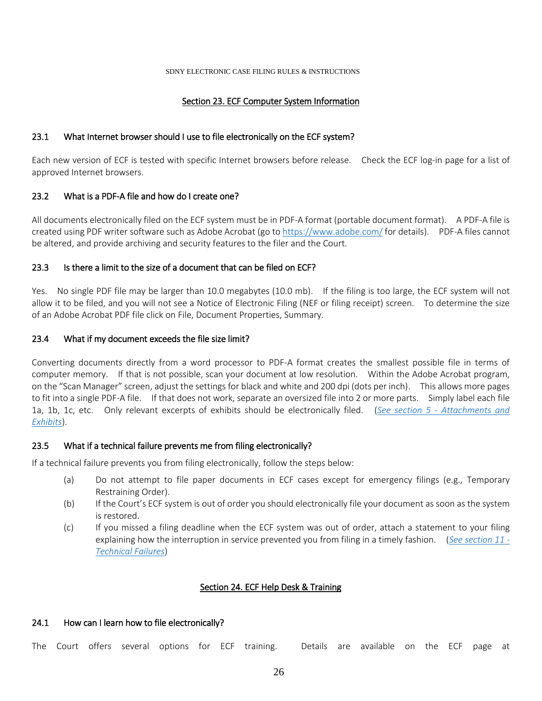#### Section 23. ECF Computer System Information

#### <span id="page-25-0"></span>23.1 What Internet browser should I use to file electronically on the ECF system?

Each new version of ECF is tested with specific Internet browsers before release. Check the ECF log-in page for a list of approved Internet browsers.

#### 23.2 What is a PDF-A file and how do I create one?

All documents electronically filed on the ECF system must be in PDF-A format (portable document format). A PDF-A file is created using PDF writer software such as Adobe Acrobat (go to<https://www.adobe.com/> for details). PDF-A files cannot be altered, and provide archiving and security features to the filer and the Court.

#### 23.3 Is there a limit to the size of a document that can be filed on ECF?

Yes. No single PDF file may be larger than 10.0 megabytes (10.0 mb). If the filing is too large, the ECF system will not allow it to be filed, and you will not see a Notice of Electronic Filing (NEF or filing receipt) screen. To determine the size of an Adobe Acrobat PDF file click on File, Document Properties, Summary.

#### 23.4 What if my document exceeds the file size limit?

Converting documents directly from a word processor to PDF-A format creates the smallest possible file in terms of computer memory. If that is not possible, scan your document at low resolution. Within the Adobe Acrobat program, on the "Scan Manager" screen, adjust the settings for black and white and 200 dpi (dots per inch). This allows more pages to fit into a single PDF-A file. If that does not work, separate an oversized file into 2 or more parts. Simply label each file 1a, 1b, 1c, etc. Only relevant excerpts of exhibits should be electronically filed. (*See section 5 - [Attachments and](#page-6-1)  [Exhibits](#page-6-1)*).

#### 23.5 What if a technical failure prevents me from filing electronically?

If a technical failure prevents you from filing electronically, follow the steps below:

- (a) Do not attempt to file paper documents in ECF cases except for emergency filings (e.g., Temporary Restraining Order).
- (b) If the Court's ECF system is out of order you should electronically file your document as soon as the system is restored.
- (c) If you missed a filing deadline when the ECF system was out of order, attach a statement to your filing explaining how the interruption in service prevented you from filing in a timely fashion. (*[See section 11 -](#page-8-1) [Technical Failures](#page-8-1)*)

### Section 24. ECF Help Desk & Training

#### <span id="page-25-1"></span>24.1 How can I learn how to file electronically?

The Court offers several options for ECF training. Details are available on the ECF page at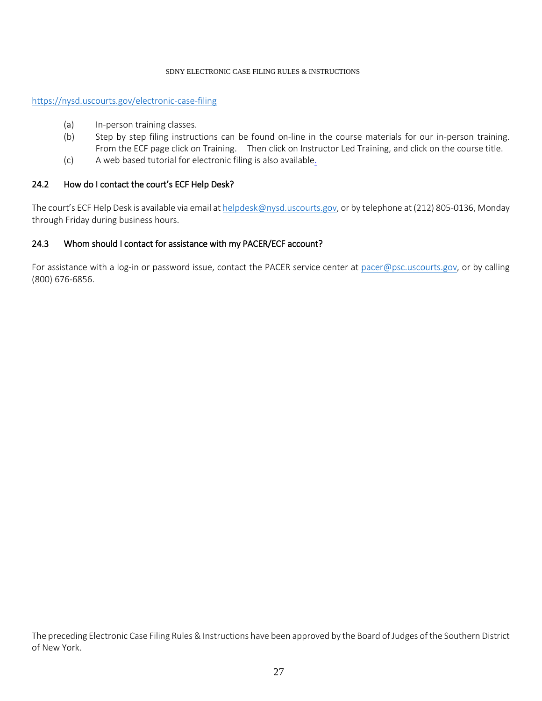#### <https://nysd.uscourts.gov/electronic-case-filing>

- (a) In-person training classes.
- (b) Step by step filing instructions can be found on-line in the course materials for our in-person training. From the ECF page click on Training. Then click on Instructor Led Training, and click on the course title.
- (c) A web based tutorial for electronic filing is also available.

#### 24.2 How do I contact the court's ECF Help Desk?

The court's ECF Help Desk is available via email a[t helpdesk@nysd.uscourts.gov,](mailto:helpdesk@nysd.uscourts.gov) or by telephone at (212) 805-0136, Monday through Friday during business hours.

#### 24.3 Whom should I contact for assistance with my PACER/ECF account?

For assistance with a log-in or password issue, contact the PACER service center at [pacer@psc.uscourts.gov,](mailto:pacer@psc.uscourts.gov) or by calling (800) 676-6856.

The preceding Electronic Case Filing Rules & Instructions have been approved by the Board of Judges of the Southern District of New York.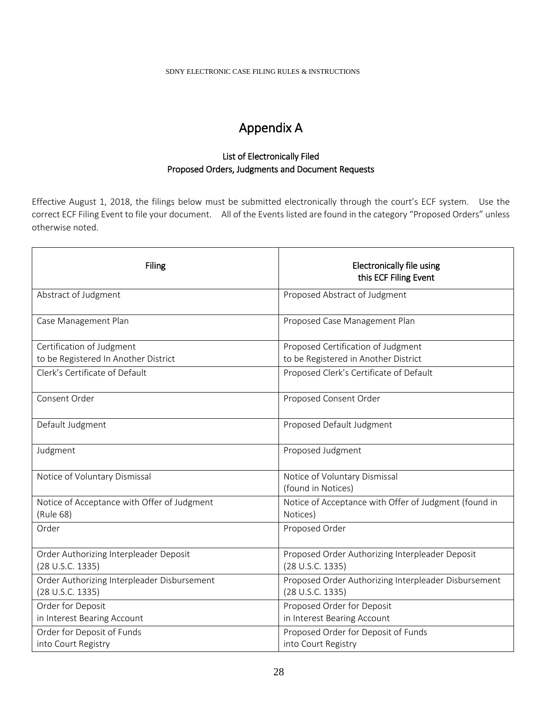# Appendix A

# List of Electronically Filed Proposed Orders, Judgments and Document Requests

<span id="page-27-0"></span>Effective August 1, 2018, the filings below must be submitted electronically through the court's ECF system. Use the correct ECF Filing Event to file your document. All of the Events listed are found in the category "Proposed Orders" unless otherwise noted.

| <b>Filing</b>                                                   | <b>Electronically file using</b><br>this ECF Filing Event                |
|-----------------------------------------------------------------|--------------------------------------------------------------------------|
| Abstract of Judgment                                            | Proposed Abstract of Judgment                                            |
| Case Management Plan                                            | Proposed Case Management Plan                                            |
| Certification of Judgment                                       | Proposed Certification of Judgment                                       |
| to be Registered In Another District                            | to be Registered in Another District                                     |
| Clerk's Certificate of Default                                  | Proposed Clerk's Certificate of Default                                  |
| Consent Order                                                   | Proposed Consent Order                                                   |
| Default Judgment                                                | Proposed Default Judgment                                                |
| Judgment                                                        | Proposed Judgment                                                        |
| Notice of Voluntary Dismissal                                   | Notice of Voluntary Dismissal<br>(found in Notices)                      |
| Notice of Acceptance with Offer of Judgment<br>(Rule 68)        | Notice of Acceptance with Offer of Judgment (found in<br>Notices)        |
| Order                                                           | Proposed Order                                                           |
| Order Authorizing Interpleader Deposit<br>(28 U.S.C. 1335)      | Proposed Order Authorizing Interpleader Deposit<br>(28 U.S.C. 1335)      |
| Order Authorizing Interpleader Disbursement<br>(28 U.S.C. 1335) | Proposed Order Authorizing Interpleader Disbursement<br>(28 U.S.C. 1335) |
|                                                                 |                                                                          |
| Order for Deposit<br>in Interest Bearing Account                | Proposed Order for Deposit<br>in Interest Bearing Account                |
| Order for Deposit of Funds                                      | Proposed Order for Deposit of Funds                                      |
| into Court Registry                                             | into Court Registry                                                      |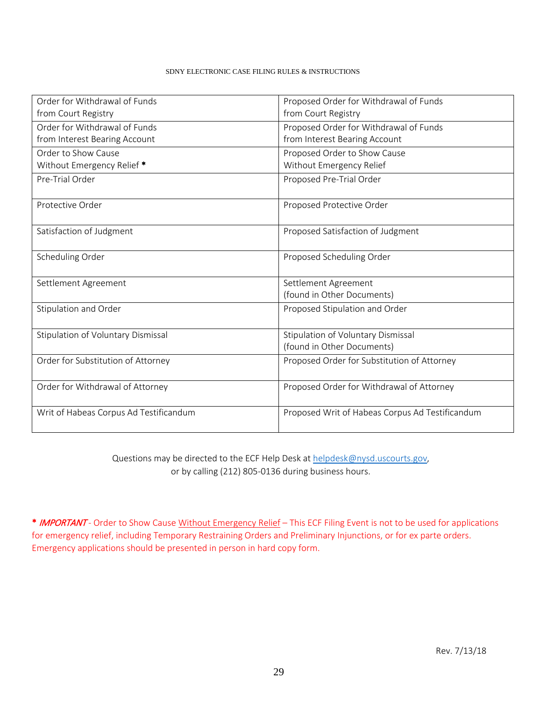| Order for Withdrawal of Funds          | Proposed Order for Withdrawal of Funds          |
|----------------------------------------|-------------------------------------------------|
| from Court Registry                    | from Court Registry                             |
| Order for Withdrawal of Funds          | Proposed Order for Withdrawal of Funds          |
| from Interest Bearing Account          | from Interest Bearing Account                   |
| Order to Show Cause                    | Proposed Order to Show Cause                    |
| Without Emergency Relief *             | Without Emergency Relief                        |
| Pre-Trial Order                        | Proposed Pre-Trial Order                        |
| Protective Order                       | Proposed Protective Order                       |
| Satisfaction of Judgment               | Proposed Satisfaction of Judgment               |
| Scheduling Order                       | Proposed Scheduling Order                       |
| Settlement Agreement                   | Settlement Agreement                            |
|                                        | (found in Other Documents)                      |
| Stipulation and Order                  | Proposed Stipulation and Order                  |
| Stipulation of Voluntary Dismissal     | Stipulation of Voluntary Dismissal              |
|                                        | (found in Other Documents)                      |
| Order for Substitution of Attorney     | Proposed Order for Substitution of Attorney     |
| Order for Withdrawal of Attorney       | Proposed Order for Withdrawal of Attorney       |
| Writ of Habeas Corpus Ad Testificandum | Proposed Writ of Habeas Corpus Ad Testificandum |

Questions may be directed to the ECF Help Desk a[t helpdesk@nysd.uscourts.gov,](mailto:helpdesk@nysd.uscourts.gov) or by calling (212) 805-0136 during business hours.

\* IMPORTANT - Order to Show Cause Without Emergency Relief – This ECF Filing Event is not to be used for applications for emergency relief, including Temporary Restraining Orders and Preliminary Injunctions, or for ex parte orders. Emergency applications should be presented in person in hard copy form.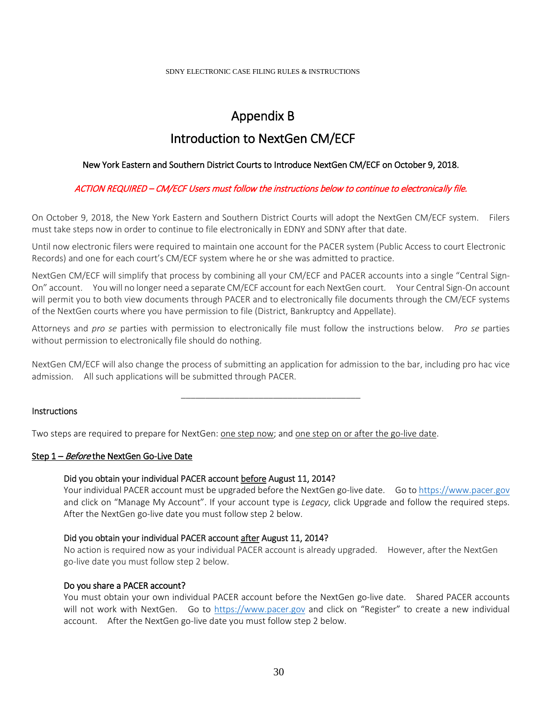# Appendix B

# Introduction to NextGen CM/ECF

#### <span id="page-29-0"></span>New York Eastern and Southern District Courts to Introduce NextGen CM/ECF on October 9, 2018.

#### ACTION REQUIRED – CM/ECF Users must follow the instructions below to continue to electronically file.

On October 9, 2018, the New York Eastern and Southern District Courts will adopt the NextGen CM/ECF system. Filers must take steps now in order to continue to file electronically in EDNY and SDNY after that date.

Until now electronic filers were required to maintain one account for the PACER system (Public Access to court Electronic Records) and one for each court's CM/ECF system where he or she was admitted to practice.

NextGen CM/ECF will simplify that process by combining all your CM/ECF and PACER accounts into a single "Central Sign-On" account. You will no longer need a separate CM/ECF account for each NextGen court. Your Central Sign-On account will permit you to both view documents through PACER and to electronically file documents through the CM/ECF systems of the NextGen courts where you have permission to file (District, Bankruptcy and Appellate).

Attorneys and *pro se* parties with permission to electronically file must follow the instructions below. *Pro se* parties without permission to electronically file should do nothing.

NextGen CM/ECF will also change the process of submitting an application for admission to the bar, including pro hac vice admission. All such applications will be submitted through PACER.

\_\_\_\_\_\_\_\_\_\_\_\_\_\_\_\_\_\_\_\_\_\_\_\_\_\_\_\_\_\_\_\_\_\_\_\_\_

#### **Instructions**

Two steps are required to prepare for NextGen: one step now; and one step on or after the go-live date.

#### Step 1 – Before the NextGen Go-Live Date

#### Did you obtain your individual PACER account before August 11, 2014?

Your individual PACER account must be upgraded before the NextGen go-live date. Go to [https://www.pacer.gov](https://www.pacer.gov/) and click on "Manage My Account". If your account type is *Legacy*, click Upgrade and follow the required steps. After the NextGen go-live date you must follow step 2 below.

#### Did you obtain your individual PACER account after August 11, 2014?

No action is required now as your individual PACER account is already upgraded. However, after the NextGen go-live date you must follow step 2 below.

#### Do you share a PACER account?

You must obtain your own individual PACER account before the NextGen go-live date. Shared PACER accounts will not work with NextGen. Go to [https://www.pacer.gov](https://www.pacer.gov/) and click on "Register" to create a new individual account. After the NextGen go-live date you must follow step 2 below.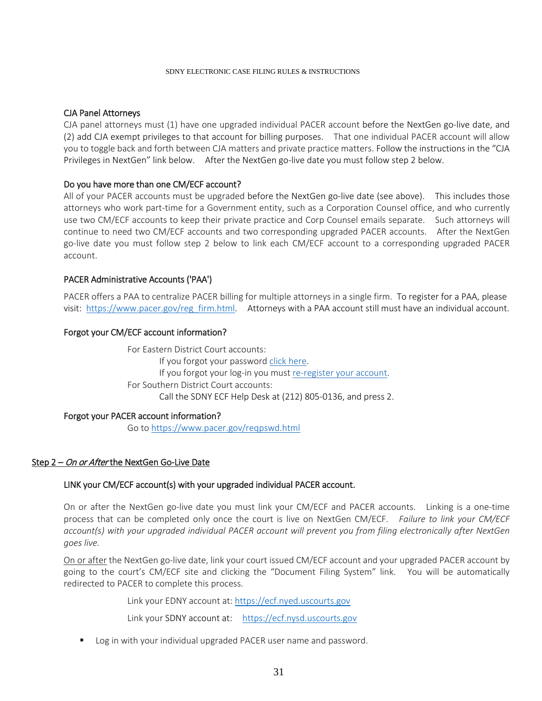#### CJA Panel Attorneys

CJA panel attorneys must (1) have one upgraded individual PACER account before the NextGen go-live date, and (2) add CJA exempt privileges to that account for billing purposes. That one individual PACER account will allow you to toggle back and forth between CJA matters and private practice matters. Follow the instructions in the "CJA Privileges in NextGen" link below. After the NextGen go-live date you must follow step 2 below.

#### Do you have more than one CM/ECF account?

All of your PACER accounts must be upgraded before the NextGen go-live date (see above). This includes those attorneys who work part-time for a Government entity, such as a Corporation Counsel office, and who currently use two CM/ECF accounts to keep their private practice and Corp Counsel emails separate. Such attorneys will continue to need two CM/ECF accounts and two corresponding upgraded PACER accounts. After the NextGen go-live date you must follow step 2 below to link each CM/ECF account to a corresponding upgraded PACER account.

#### PACER Administrative Accounts ('PAA')

PACER offers a PAA to centralize PACER billing for multiple attorneys in a single firm. To register for a PAA, please visit: [https://www.pacer.gov/reg\\_firm.html.](https://www.pacer.gov/reg_firm.html) Attorneys with a PAA account still must have an individual account.

#### Forgot your CM/ECF account information?

For Eastern District Court accounts: If you forgot your passwor[d click here.](https://ecf.nyed.uscourts.gov/cgi-bin/lostPassword.pl) If you forgot your log-in you mus[t re-register your account.](https://www.nyed.uscourts.gov/cgi-bin/aaa/atyAdmit.pl) For Southern District Court accounts: Call the SDNY ECF Help Desk at (212) 805-0136, and press 2.

#### Forgot your PACER account information?

Go to<https://www.pacer.gov/reqpswd.html>

#### Step 2 – On or After the NextGen Go-Live Date

#### LINK your CM/ECF account(s) with your upgraded individual PACER account.

On or after the NextGen go-live date you must link your CM/ECF and PACER accounts. Linking is a one-time process that can be completed only once the court is live on NextGen CM/ECF. *Failure to link your CM/ECF account(s) with your upgraded individual PACER account will prevent you from filing electronically after NextGen goes live.*

On or after the NextGen go-live date, link your court issued CM/ECF account and your upgraded PACER account by going to the court's CM/ECF site and clicking the "Document Filing System" link. You will be automatically redirected to PACER to complete this process.

Link your EDNY account at: [https://ecf.nyed.uscourts.gov](https://ecf.nyed.uscourts.gov/)

Link your SDNY account at: [https://ecf.nysd.uscourts.gov](https://ecf.nysd.uscourts.gov/)

**DED Log in with your individual upgraded PACER user name and password.**